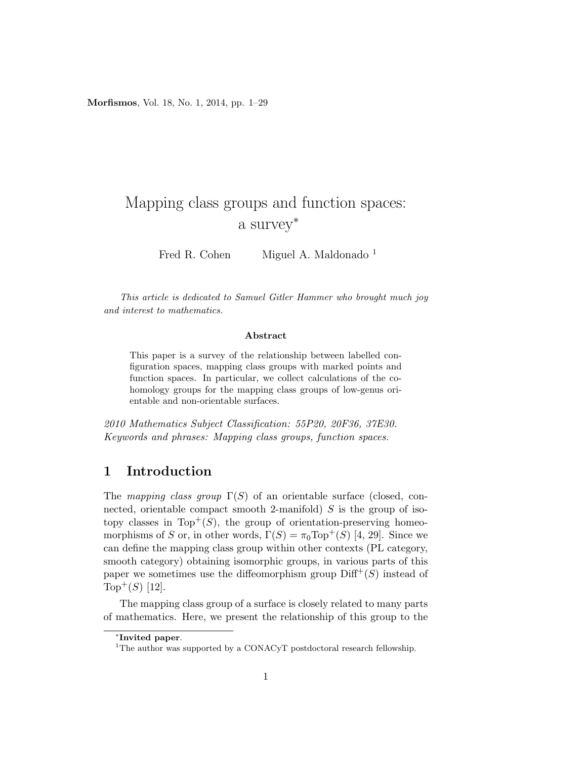Morfismos, Vol. 18, No. 1, 2014, pp. 1–29

# Mapping class groups and function spaces: a survey<sup>∗</sup>

Fred R. Cohen Miguel A. Maldonado <sup>1</sup>

This article is dedicated to Samuel Gitler Hammer who brought much joy and interest to mathematics.

#### Abstract

This paper is a survey of the relationship between labelled configuration spaces, mapping class groups with marked points and function spaces. In particular, we collect calculations of the cohomology groups for the mapping class groups of low-genus orientable and non-orientable surfaces.

2010 Mathematics Subject Classification: 55P20, 20F36, 37E30. Keywords and phrases: Mapping class groups, function spaces.

# 1 Introduction

The mapping class group  $\Gamma(S)$  of an orientable surface (closed, connected, orientable compact smooth 2-manifold)  $S$  is the group of isotopy classes in  $Top^+(S)$ , the group of orientation-preserving homeomorphisms of S or, in other words,  $\Gamma(S) = \pi_0 \text{Top}^+(S)$  [4, 29]. Since we can define the mapping class group within other contexts (PL category, smooth category) obtaining isomorphic groups, in various parts of this paper we sometimes use the diffeomorphism group  $\text{Diff}^{+}(S)$  instead of Top<sup>+</sup> $(S)$  [12].

The mapping class group of a surface is closely related to many parts of mathematics. Here, we present the relationship of this group to the

<sup>∗</sup> Invited paper.

<sup>&</sup>lt;sup>1</sup>The author was supported by a CONACyT postdoctoral research fellowship.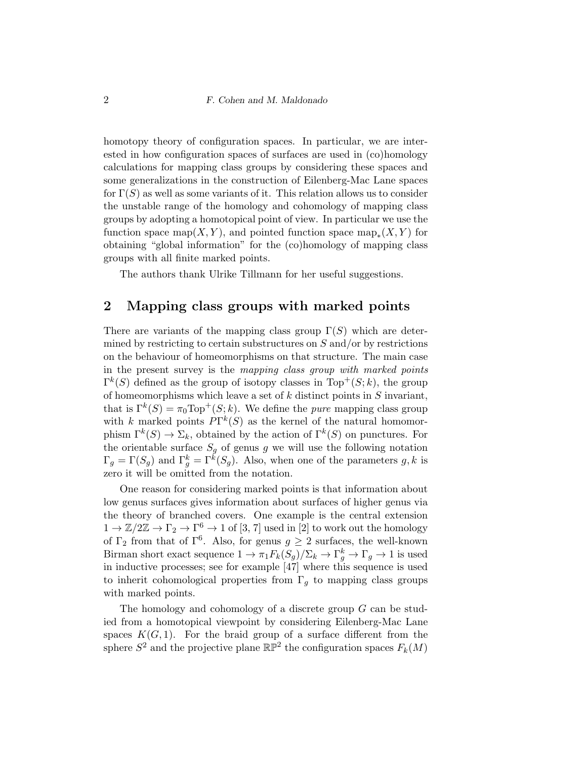homotopy theory of configuration spaces. In particular, we are interested in how configuration spaces of surfaces are used in (co)homology calculations for mapping class groups by considering these spaces and some generalizations in the construction of Eilenberg-Mac Lane spaces for  $\Gamma(S)$  as well as some variants of it. This relation allows us to consider the unstable range of the homology and cohomology of mapping class groups by adopting a homotopical point of view. In particular we use the function space map $(X, Y)$ , and pointed function space map<sub>\*</sub> $(X, Y)$  for obtaining "global information" for the (co)homology of mapping class groups with all finite marked points.

The authors thank Ulrike Tillmann for her useful suggestions.

# 2 Mapping class groups with marked points

There are variants of the mapping class group  $\Gamma(S)$  which are determined by restricting to certain substructures on  $S$  and/or by restrictions on the behaviour of homeomorphisms on that structure. The main case in the present survey is the mapping class group with marked points  $\Gamma^{k}(S)$  defined as the group of isotopy classes in Top<sup>+</sup> $(S; k)$ , the group of homeomorphisms which leave a set of  $k$  distinct points in  $S$  invariant, that is  $\Gamma^k(S) = \pi_0 \text{Top}^+(S; k)$ . We define the *pure* mapping class group with k marked points  $P\Gamma^{k}(S)$  as the kernel of the natural homomorphism  $\Gamma^k(S) \to \Sigma_k$ , obtained by the action of  $\Gamma^k(S)$  on punctures. For the orientable surface  $S_g$  of genus g we will use the following notation  $\Gamma_g = \Gamma(S_g)$  and  $\Gamma_g^k = \Gamma^k(S_g)$ . Also, when one of the parameters  $g, k$  is zero it will be omitted from the notation.

One reason for considering marked points is that information about low genus surfaces gives information about surfaces of higher genus via the theory of branched covers. One example is the central extension  $1 \to \mathbb{Z}/2\mathbb{Z} \to \Gamma_2 \to \Gamma^6 \to 1$  of [3, 7] used in [2] to work out the homology of  $\Gamma_2$  from that of  $\Gamma^6$ . Also, for genus  $g \geq 2$  surfaces, the well-known Birman short exact sequence  $1 \to \pi_1 F_k(S_g)/\Sigma_k \to \Gamma_g^k \to \Gamma_g \to 1$  is used in inductive processes; see for example [47] where this sequence is used to inherit cohomological properties from  $\Gamma_g$  to mapping class groups with marked points.

The homology and cohomology of a discrete group G can be studied from a homotopical viewpoint by considering Eilenberg-Mac Lane spaces  $K(G, 1)$ . For the braid group of a surface different from the sphere  $S^2$  and the projective plane  $\mathbb{RP}^2$  the configuration spaces  $F_k(M)$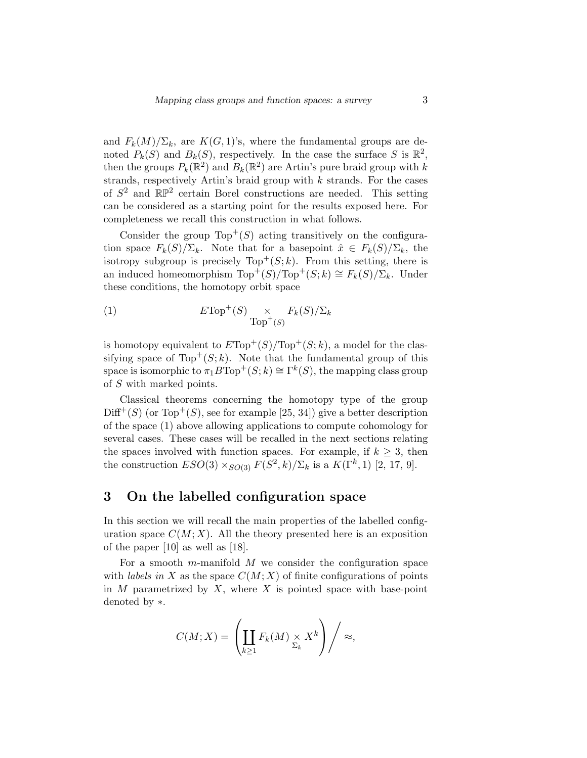and  $F_k(M)/\Sigma_k$ , are  $K(G, 1)$ 's, where the fundamental groups are denoted  $P_k(S)$  and  $B_k(S)$ , respectively. In the case the surface S is  $\mathbb{R}^2$ , then the groups  $P_k(\mathbb{R}^2)$  and  $B_k(\mathbb{R}^2)$  are Artin's pure braid group with k strands, respectively Artin's braid group with  $k$  strands. For the cases of  $S^2$  and  $\mathbb{RP}^2$  certain Borel constructions are needed. This setting can be considered as a starting point for the results exposed here. For completeness we recall this construction in what follows.

Consider the group  $Top<sup>+</sup>(S)$  acting transitively on the configuration space  $F_k(S)/\Sigma_k$ . Note that for a basepoint  $\hat{x} \in F_k(S)/\Sigma_k$ , the isotropy subgroup is precisely  $Top^+(S; k)$ . From this setting, there is an induced homeomorphism  $\text{Top}^+(S)/\text{Top}^+(S;k) \cong F_k(S)/\Sigma_k$ . Under these conditions, the homotopy orbit space

(1) 
$$
E\text{Top}^+(S) \underset{\text{Top}^+(S)}{\times} F_k(S)/\Sigma_k
$$

is homotopy equivalent to  $E\text{Top}^+(S)/\text{Top}^+(S;k)$ , a model for the classifying space of  $Top^+(S; k)$ . Note that the fundamental group of this space is isomorphic to  $\pi_1 B \text{Top}^+(S; k) \cong \Gamma^k(S)$ , the mapping class group of S with marked points.

Classical theorems concerning the homotopy type of the group  $Diff<sup>+</sup>(S)$  (or Top<sup>+</sup>(S), see for example [25, 34]) give a better description of the space (1) above allowing applications to compute cohomology for several cases. These cases will be recalled in the next sections relating the spaces involved with function spaces. For example, if  $k \geq 3$ , then the construction  $ESO(3) \times_{SO(3)} F(S^2, k) / \Sigma_k$  is a  $K(\Gamma^k, 1)$  [2, 17, 9].

# 3 On the labelled configuration space

In this section we will recall the main properties of the labelled configuration space  $C(M; X)$ . All the theory presented here is an exposition of the paper [10] as well as [18].

For a smooth m-manifold  $M$  we consider the configuration space with *labels in* X as the space  $C(M; X)$  of finite configurations of points in  $M$  parametrized by  $X$ , where  $X$  is pointed space with base-point denoted by ∗.

$$
C(M;X) = \left(\coprod_{k\geq 1} F_k(M) \underset{\Sigma_k}{\times} X^k\right) / \approx,
$$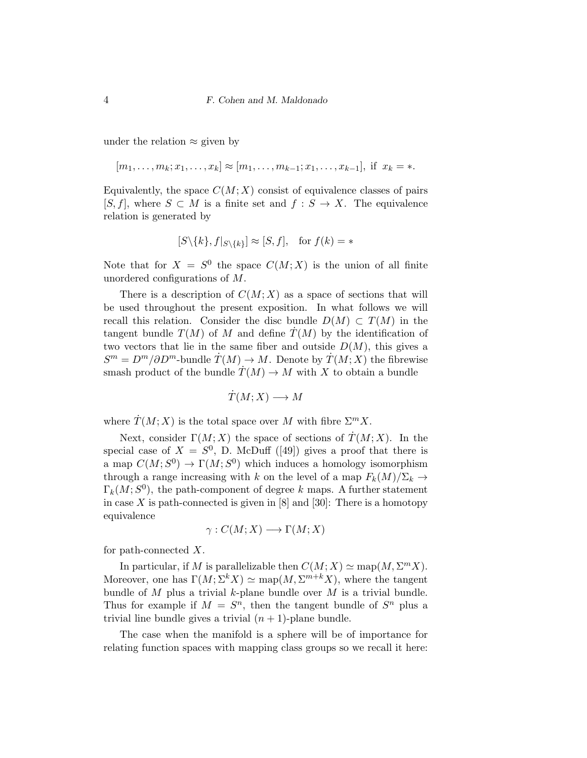under the relation  $\approx$  given by

 $[m_1, \ldots, m_k; x_1, \ldots, x_k] \approx [m_1, \ldots, m_{k-1}; x_1, \ldots, x_{k-1}],$  if  $x_k = *$ .

Equivalently, the space  $C(M; X)$  consist of equivalence classes of pairs  $[S, f]$ , where  $S \subset M$  is a finite set and  $f : S \to X$ . The equivalence relation is generated by

$$
[S \setminus \{k\}, f|_{S \setminus \{k\}}] \approx [S, f], \text{ for } f(k) = *
$$

Note that for  $X = S^0$  the space  $C(M; X)$  is the union of all finite unordered configurations of M.

There is a description of  $C(M; X)$  as a space of sections that will be used throughout the present exposition. In what follows we will recall this relation. Consider the disc bundle  $D(M) \subset T(M)$  in the tangent bundle  $T(M)$  of M and define  $T(M)$  by the identification of two vectors that lie in the same fiber and outside  $D(M)$ , this gives a  $S^m = D^m / \partial D^m$ -bundle  $\dot{T}(M) \to M$ . Denote by  $\dot{T}(M;X)$  the fibrewise smash product of the bundle  $T(M) \to M$  with X to obtain a bundle

$$
T(M;X)\longrightarrow M
$$

where  $\dot{T}(M;X)$  is the total space over M with fibre  $\Sigma^m X$ .

Next, consider  $\Gamma(M; X)$  the space of sections of  $\dot{T}(M; X)$ . In the special case of  $X = S^0$ , D. McDuff ([49]) gives a proof that there is a map  $C(M; S^0) \to \Gamma(M; S^0)$  which induces a homology isomorphism through a range increasing with k on the level of a map  $F_k(M)/\Sigma_k \to$  $\Gamma_k(M; S^0)$ , the path-component of degree k maps. A further statement in case X is path-connected is given in  $[8]$  and  $[30]$ : There is a homotopy equivalence

$$
\gamma: C(M;X) \longrightarrow \Gamma(M;X)
$$

for path-connected X.

In particular, if M is parallelizable then  $C(M; X) \simeq \text{map}(M, \Sigma^m X)$ . Moreover, one has  $\Gamma(M; \Sigma^k X) \simeq \text{map}(M, \Sigma^{m+k} X)$ , where the tangent bundle of  $M$  plus a trivial  $k$ -plane bundle over  $M$  is a trivial bundle. Thus for example if  $M = S^n$ , then the tangent bundle of  $S^n$  plus a trivial line bundle gives a trivial  $(n + 1)$ -plane bundle.

The case when the manifold is a sphere will be of importance for relating function spaces with mapping class groups so we recall it here: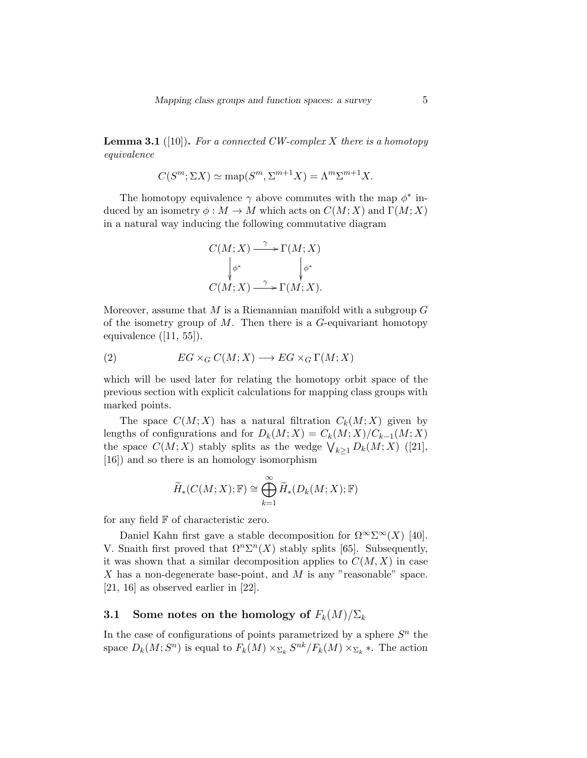**Lemma 3.1** ([10]). For a connected CW-complex X there is a homotopy equivalence

$$
C(S^m; \Sigma X) \simeq \text{map}(S^m, \Sigma^{m+1} X) = \Lambda^m \Sigma^{m+1} X.
$$

The homotopy equivalence  $\gamma$  above commutes with the map  $\phi^*$  induced by an isometry  $\phi : M \to M$  which acts on  $C(M; X)$  and  $\Gamma(M; X)$ in a natural way inducing the following commutative diagram

$$
C(M; X) \xrightarrow{\gamma} \Gamma(M; X)
$$
  
\n
$$
\downarrow{\phi^*} \qquad \qquad \downarrow{\phi^*}
$$
  
\n
$$
C(M; X) \xrightarrow{\gamma} \Gamma(M; X).
$$

Moreover, assume that  $M$  is a Riemannian manifold with a subgroup  $G$ of the isometry group of  $M$ . Then there is a  $G$ -equivariant homotopy equivalence  $([11, 55])$ .

(2) 
$$
EG \times_G C(M;X) \longrightarrow EG \times_G \Gamma(M;X)
$$

which will be used later for relating the homotopy orbit space of the previous section with explicit calculations for mapping class groups with marked points.

The space  $C(M; X)$  has a natural filtration  $C_k(M; X)$  given by lengths of configurations and for  $D_k(M; X) = C_k(M; X)/C_{k-1}(M; X)$ the space  $C(M; X)$  stably splits as the wedge  $\bigvee_{k \geq 1} D_k(M; X)$  ([21], [16]) and so there is an homology isomorphism

$$
\widetilde{H}_*(C(M;X); \mathbb{F}) \cong \bigoplus_{k=1}^{\infty} \widetilde{H}_*(D_k(M;X); \mathbb{F})
$$

for any field  $F$  of characteristic zero.

Daniel Kahn first gave a stable decomposition for  $\Omega^{\infty} \Sigma^{\infty}(X)$  [40]. V. Snaith first proved that  $\Omega^n \Sigma^n(X)$  stably splits [65]. Subsequently, it was shown that a similar decomposition applies to  $C(M, X)$  in case X has a non-degenerate base-point, and M is any "reasonable" space. [21, 16] as observed earlier in [22].

# 3.1 Some notes on the homology of  $F_k(M)/\Sigma_k$

In the case of configurations of points parametrized by a sphere  $S<sup>n</sup>$  the space  $D_k(M; S^n)$  is equal to  $F_k(M) \times_{\Sigma_k} S^{nk}/F_k(M) \times_{\Sigma_k}$ . The action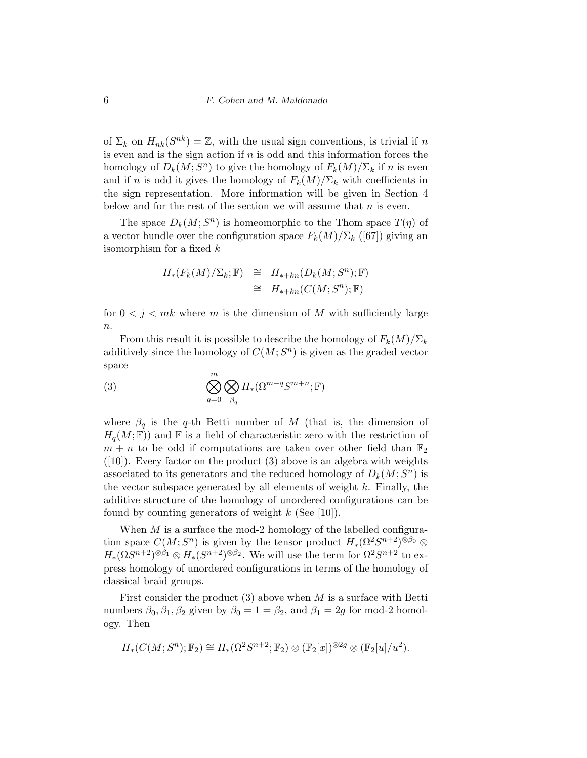of  $\Sigma_k$  on  $H_{nk}(S^{nk}) = \mathbb{Z}$ , with the usual sign conventions, is trivial if n is even and is the sign action if  $n$  is odd and this information forces the homology of  $D_k(M; S^n)$  to give the homology of  $F_k(M)/\Sigma_k$  if n is even and if n is odd it gives the homology of  $F_k(M)/\Sigma_k$  with coefficients in the sign representation. More information will be given in Section 4 below and for the rest of the section we will assume that  $n$  is even.

The space  $D_k(M; S^n)$  is homeomorphic to the Thom space  $T(\eta)$  of a vector bundle over the configuration space  $F_k(M)/\Sigma_k$  ([67]) giving an isomorphism for a fixed k

$$
H_*(F_k(M)/\Sigma_k; \mathbb{F}) \cong H_{*+kn}(D_k(M; S^n); \mathbb{F})
$$
  

$$
\cong H_{*+kn}(C(M; S^n); \mathbb{F})
$$

for  $0 < j < mk$  where m is the dimension of M with sufficiently large  $n$ .

From this result it is possible to describe the homology of  $F_k(M)/\Sigma_k$ additively since the homology of  $C(M; S<sup>n</sup>)$  is given as the graded vector space

(3) 
$$
\bigotimes_{q=0}^{m} \bigotimes_{\beta_q} H_*(\Omega^{m-q}S^{m+n}; \mathbb{F})
$$

where  $\beta_q$  is the q-th Betti number of M (that is, the dimension of  $H_q(M; \mathbb{F})$  and F is a field of characteristic zero with the restriction of  $m + n$  to be odd if computations are taken over other field than  $\mathbb{F}_2$  $([10])$ . Every factor on the product  $(3)$  above is an algebra with weights associated to its generators and the reduced homology of  $D_k(M; S^n)$  is the vector subspace generated by all elements of weight  $k$ . Finally, the additive structure of the homology of unordered configurations can be found by counting generators of weight  $k$  (See [10]).

When  $M$  is a surface the mod-2 homology of the labelled configuration space  $C(M; S<sup>n</sup>)$  is given by the tensor product  $H_*(\Omega^2 S^{n+2})^{\otimes \beta_0}$  $H_*(\Omega S^{n+2})^{\otimes \beta_1} \otimes H_*(S^{n+2})^{\otimes \beta_2}$ . We will use the term for  $\Omega^2 S^{n+2}$  to express homology of unordered configurations in terms of the homology of classical braid groups.

First consider the product  $(3)$  above when M is a surface with Betti numbers  $\beta_0$ ,  $\beta_1$ ,  $\beta_2$  given by  $\beta_0 = 1 = \beta_2$ , and  $\beta_1 = 2g$  for mod-2 homology. Then

$$
H_*(C(M; S^n); \mathbb{F}_2) \cong H_*(\Omega^2 S^{n+2}; \mathbb{F}_2) \otimes (\mathbb{F}_2[x])^{\otimes 2g} \otimes (\mathbb{F}_2[u]/u^2).
$$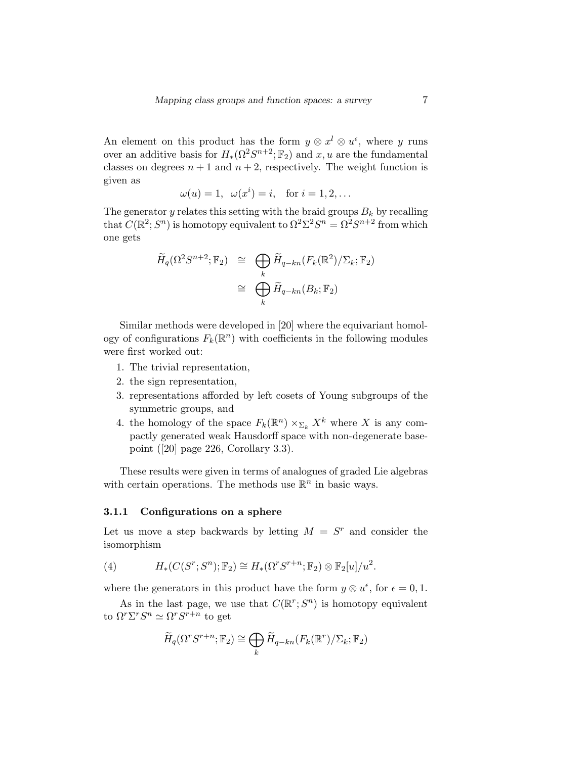An element on this product has the form  $y \otimes x^l \otimes u^{\epsilon}$ , where y runs over an additive basis for  $H_*(\Omega^2 S^{n+2}; \mathbb{F}_2)$  and  $x, u$  are the fundamental classes on degrees  $n + 1$  and  $n + 2$ , respectively. The weight function is given as

$$
\omega(u) = 1, \ \omega(x^i) = i, \quad \text{for } i = 1, 2, \dots
$$

The generator y relates this setting with the braid groups  $B_k$  by recalling that  $C(\mathbb{R}^2; S^n)$  is homotopy equivalent to  $\Omega^2 \Sigma^2 S^n = \Omega^2 S^{n+2}$  from which one gets

$$
\widetilde{H}_q(\Omega^2 S^{n+2}; \mathbb{F}_2) \cong \bigoplus_k \widetilde{H}_{q-kn}(F_k(\mathbb{R}^2)/\Sigma_k; \mathbb{F}_2)
$$
\n
$$
\cong \bigoplus_k \widetilde{H}_{q-kn}(B_k; \mathbb{F}_2)
$$

Similar methods were developed in [20] where the equivariant homology of configurations  $F_k(\mathbb{R}^n)$  with coefficients in the following modules were first worked out:

- 1. The trivial representation,
- 2. the sign representation,
- 3. representations afforded by left cosets of Young subgroups of the symmetric groups, and
- 4. the homology of the space  $F_k(\mathbb{R}^n) \times_{\Sigma_k} X^k$  where X is any compactly generated weak Hausdorff space with non-degenerate basepoint ([20] page 226, Corollary 3.3).

These results were given in terms of analogues of graded Lie algebras with certain operations. The methods use  $\mathbb{R}^n$  in basic ways.

#### 3.1.1 Configurations on a sphere

Let us move a step backwards by letting  $M = S<sup>r</sup>$  and consider the isomorphism

(4) 
$$
H_*(C(S^r; S^n); \mathbb{F}_2) \cong H_*(\Omega^r S^{r+n}; \mathbb{F}_2) \otimes \mathbb{F}_2[u]/u^2.
$$

where the generators in this product have the form  $y \otimes u^{\epsilon}$ , for  $\epsilon = 0, 1$ .

As in the last page, we use that  $C(\mathbb{R}^r; S^n)$  is homotopy equivalent to  $\Omega^r \Sigma^r S^n \simeq \Omega^r S^{r+n}$  to get

$$
\widetilde{H}_q(\Omega^r S^{r+n}; \mathbb{F}_2) \cong \bigoplus_k \widetilde{H}_{q-kn}(F_k(\mathbb{R}^r)/\Sigma_k; \mathbb{F}_2)
$$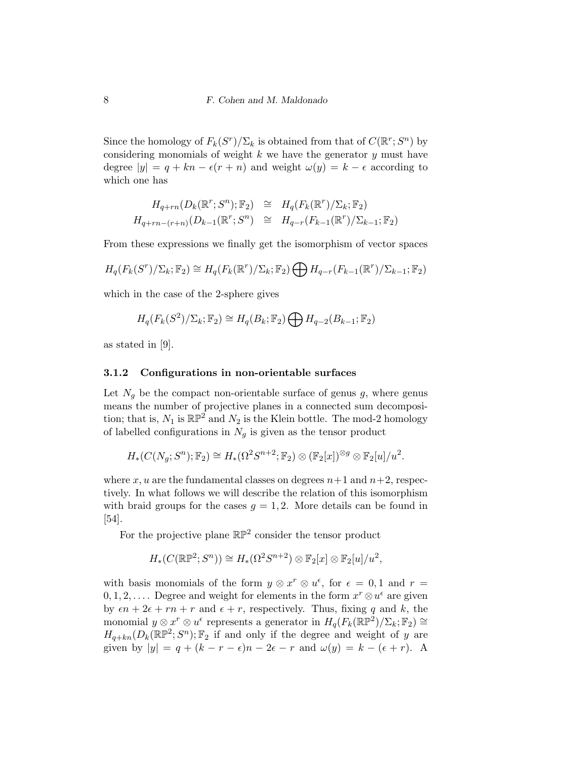Since the homology of  $F_k(S^r)/\Sigma_k$  is obtained from that of  $C(\mathbb{R}^r; S^n)$  by considering monomials of weight  $k$  we have the generator  $y$  must have degree  $|y| = q + kn - \epsilon(r + n)$  and weight  $\omega(y) = k - \epsilon$  according to which one has

$$
H_{q+rn}(D_k(\mathbb{R}^r; S^n); \mathbb{F}_2) \cong H_q(F_k(\mathbb{R}^r)/\Sigma_k; \mathbb{F}_2)
$$
  

$$
H_{q+rn-(r+n)}(D_{k-1}(\mathbb{R}^r; S^n) \cong H_{q-r}(F_{k-1}(\mathbb{R}^r)/\Sigma_{k-1}; \mathbb{F}_2)
$$

From these expressions we finally get the isomorphism of vector spaces

$$
H_q(F_k(S^r)/\Sigma_k; \mathbb{F}_2) \cong H_q(F_k(\mathbb{R}^r)/\Sigma_k; \mathbb{F}_2) \bigoplus H_{q-r}(F_{k-1}(\mathbb{R}^r)/\Sigma_{k-1}; \mathbb{F}_2)
$$

which in the case of the 2-sphere gives

$$
H_q(F_k(S^2)/\Sigma_k; \mathbb{F}_2) \cong H_q(B_k; \mathbb{F}_2) \bigoplus H_{q-2}(B_{k-1}; \mathbb{F}_2)
$$

as stated in [9].

#### 3.1.2 Configurations in non-orientable surfaces

Let  $N_g$  be the compact non-orientable surface of genus  $g$ , where genus means the number of projective planes in a connected sum decomposition; that is,  $N_1$  is  $\mathbb{RP}^2$  and  $N_2$  is the Klein bottle. The mod-2 homology of labelled configurations in  $N_q$  is given as the tensor product

$$
H_*(C(N_g; S^n); \mathbb{F}_2) \cong H_*(\Omega^2 S^{n+2}; \mathbb{F}_2) \otimes (\mathbb{F}_2[x])^{\otimes g} \otimes \mathbb{F}_2[u]/u^2.
$$

where x, u are the fundamental classes on degrees  $n+1$  and  $n+2$ , respectively. In what follows we will describe the relation of this isomorphism with braid groups for the cases  $q = 1, 2$ . More details can be found in [54].

For the projective plane  $\mathbb{RP}^2$  consider the tensor product

$$
H_*(C(\mathbb{RP}^2; S^n)) \cong H_*(\Omega^2 S^{n+2}) \otimes \mathbb{F}_2[x] \otimes \mathbb{F}_2[u]/u^2,
$$

with basis monomials of the form  $y \otimes x^r \otimes u^{\epsilon}$ , for  $\epsilon = 0, 1$  and  $r =$  $0, 1, 2, \ldots$  Degree and weight for elements in the form  $x^r \otimes u^{\epsilon}$  are given by  $\epsilon n + 2\epsilon + rn + r$  and  $\epsilon + r$ , respectively. Thus, fixing q and k, the monomial  $y \otimes x^r \otimes u^{\epsilon}$  represents a generator in  $H_q(F_k(\mathbb{RP}^2)/\Sigma_k; \mathbb{F}_2) \cong$  $H_{q+kn}(D_k(\mathbb{RP}^2; S^n); \mathbb{F}_2$  if and only if the degree and weight of y are given by  $|y| = q + (k - r - \epsilon)n - 2\epsilon - r$  and  $\omega(y) = k - (\epsilon + r)$ . A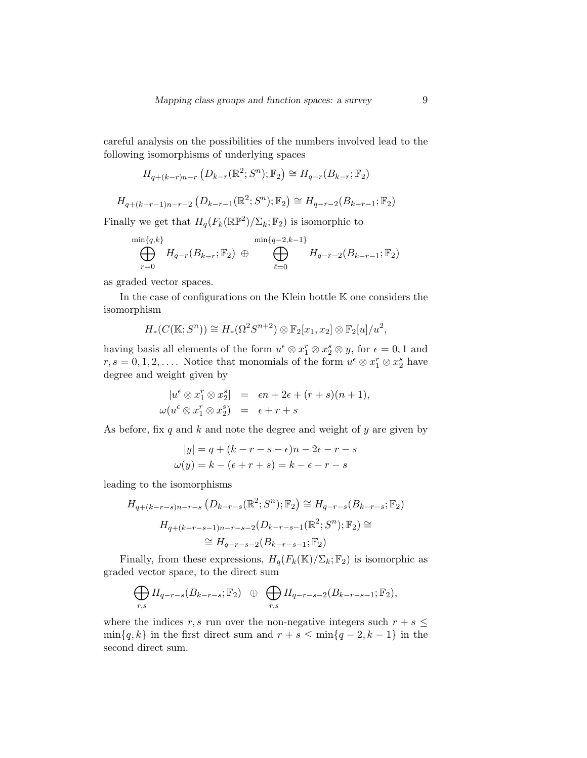careful analysis on the possibilities of the numbers involved lead to the following isomorphisms of underlying spaces

$$
H_{q+(k-r)n-r} \left( D_{k-r}(\mathbb{R}^2; S^n); \mathbb{F}_2 \right) \cong H_{q-r}(B_{k-r}; \mathbb{F}_2)
$$

$$
H_{q+(k-r-1)n-r-2}(D_{k-r-1}(\mathbb{R}^2; S^n); \mathbb{F}_2) \cong H_{q-r-2}(B_{k-r-1}; \mathbb{F}_2)
$$

Finally we get that  $H_q(F_k(\mathbb{RP}^2)/\Sigma_k; \mathbb{F}_2)$  is isomorphic to

$$
\bigoplus_{r=0}^{\min\{q,k\}} H_{q-r}(B_{k-r};\mathbb{F}_2) \oplus \bigoplus_{\ell=0}^{\min\{q-2,k-1\}} H_{q-r-2}(B_{k-r-1};\mathbb{F}_2)
$$

as graded vector spaces.

In the case of configurations on the Klein bottle K one considers the isomorphism

$$
H_*(C(\mathbb{K};S^n)) \cong H_*(\Omega^2 S^{n+2}) \otimes \mathbb{F}_2[x_1,x_2] \otimes \mathbb{F}_2[u]/u^2,
$$

having basis all elements of the form  $u^{\epsilon} \otimes x_1^r \otimes x_2^s \otimes y$ , for  $\epsilon = 0, 1$  and  $r, s = 0, 1, 2, \ldots$ . Notice that monomials of the form  $u^{\epsilon} \otimes x_1^r \otimes x_2^s$  have degree and weight given by

$$
|u^{\epsilon} \otimes x_1^r \otimes x_2^s| = \epsilon n + 2\epsilon + (r+s)(n+1),
$$
  

$$
\omega(u^{\epsilon} \otimes x_1^r \otimes x_2^s) = \epsilon + r + s
$$

As before, fix q and k and note the degree and weight of  $y$  are given by

$$
|y| = q + (k - r - s - \epsilon)n - 2\epsilon - r - s
$$

$$
\omega(y) = k - (\epsilon + r + s) = k - \epsilon - r - s
$$

leading to the isomorphisms

$$
H_{q+(k-r-s)n-r-s}(D_{k-r-s}(\mathbb{R}^2; S^n); \mathbb{F}_2) \cong H_{q-r-s}(B_{k-r-s}; \mathbb{F}_2)
$$
  

$$
H_{q+(k-r-s-1)n-r-s-2}(D_{k-r-s-1}(\mathbb{R}^2; S^n); \mathbb{F}_2) \cong
$$
  

$$
\cong H_{q-r-s-2}(B_{k-r-s-1}; \mathbb{F}_2)
$$

Finally, from these expressions,  $H_q(F_k(\mathbb{K})/\Sigma_k; \mathbb{F}_2)$  is isomorphic as graded vector space, to the direct sum

$$
\bigoplus_{r,s} H_{q-r-s}(B_{k-r-s};\mathbb{F}_2) \oplus \bigoplus_{r,s} H_{q-r-s-2}(B_{k-r-s-1};\mathbb{F}_2),
$$

where the indices r, s run over the non-negative integers such  $r + s \leq$  $\min\{q, k\}$  in the first direct sum and  $r + s \leq \min\{q - 2, k - 1\}$  in the second direct sum.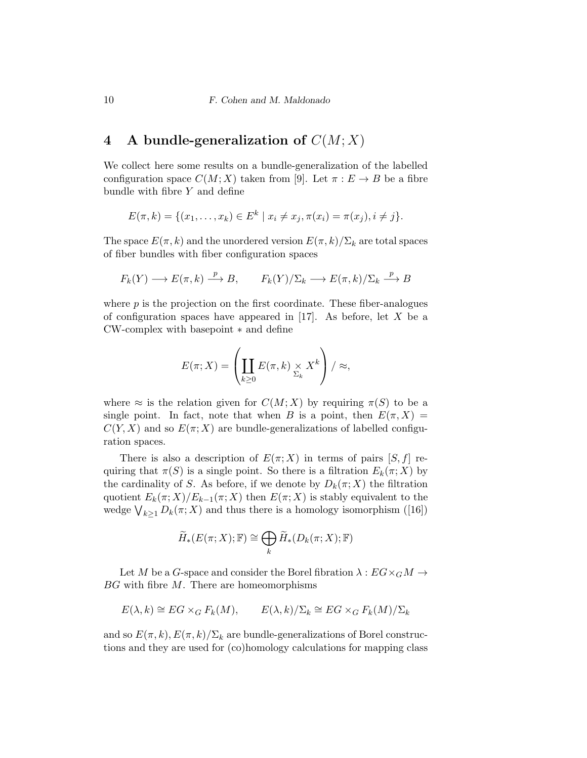# 4 A bundle-generalization of  $C(M; X)$

We collect here some results on a bundle-generalization of the labelled configuration space  $C(M; X)$  taken from [9]. Let  $\pi : E \to B$  be a fibre bundle with fibre Y and define

$$
E(\pi, k) = \{ (x_1, \dots, x_k) \in E^k \mid x_i \neq x_j, \pi(x_i) = \pi(x_j), i \neq j \}.
$$

The space  $E(\pi, k)$  and the unordered version  $E(\pi, k)/\Sigma_k$  are total spaces of fiber bundles with fiber configuration spaces

$$
F_k(Y) \longrightarrow E(\pi, k) \xrightarrow{p} B
$$
,  $F_k(Y)/\Sigma_k \longrightarrow E(\pi, k)/\Sigma_k \xrightarrow{p} B$ 

where  $p$  is the projection on the first coordinate. These fiber-analogues of configuration spaces have appeared in  $[17]$ . As before, let X be a CW-complex with basepoint ∗ and define

$$
E(\pi; X) = \left(\coprod_{k \geq 0} E(\pi, k) \underset{\Sigma_k}{\times} X^k\right) / \approx,
$$

where  $\approx$  is the relation given for  $C(M; X)$  by requiring  $\pi(S)$  to be a single point. In fact, note that when B is a point, then  $E(\pi, X) =$  $C(Y, X)$  and so  $E(\pi; X)$  are bundle-generalizations of labelled configuration spaces.

There is also a description of  $E(\pi; X)$  in terms of pairs  $[S, f]$  requiring that  $\pi(S)$  is a single point. So there is a filtration  $E_k(\pi; X)$  by the cardinality of S. As before, if we denote by  $D_k(\pi; X)$  the filtration quotient  $E_k(\pi; X)/E_{k-1}(\pi; X)$  then  $E(\pi; X)$  is stably equivalent to the wedge  $\bigvee_{k\geq 1} D_k(\pi;X)$  and thus there is a homology isomorphism ([16])

$$
\widetilde{H}_*(E(\pi;X); \mathbb{F}) \cong \bigoplus_k \widetilde{H}_*(D_k(\pi;X); \mathbb{F})
$$

Let M be a G-space and consider the Borel fibration  $\lambda : EG \times_G M \rightarrow$  $BG$  with fibre  $M$ . There are homeomorphisms

$$
E(\lambda, k) \cong EG \times_G F_k(M), \qquad E(\lambda, k) / \Sigma_k \cong EG \times_G F_k(M) / \Sigma_k
$$

and so  $E(\pi, k), E(\pi, k)/\Sigma_k$  are bundle-generalizations of Borel constructions and they are used for (co)homology calculations for mapping class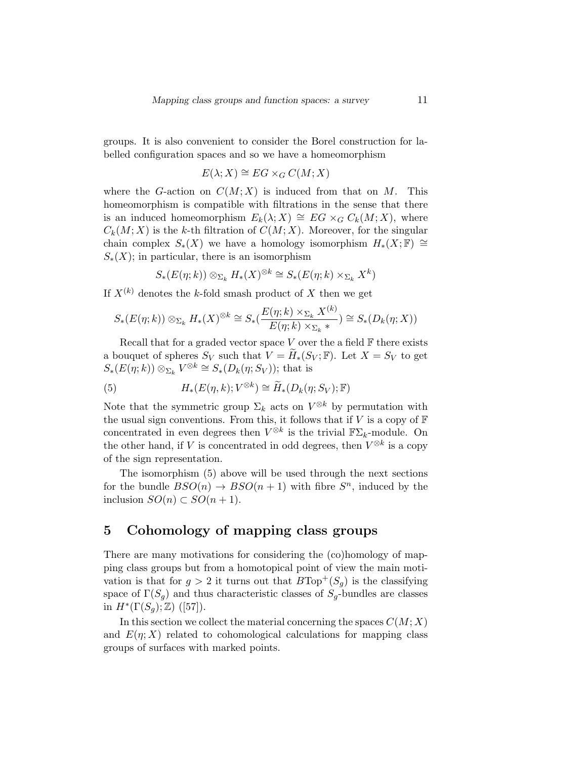groups. It is also convenient to consider the Borel construction for labelled configuration spaces and so we have a homeomorphism

$$
E(\lambda; X) \cong EG \times_G C(M; X)
$$

where the G-action on  $C(M; X)$  is induced from that on M. This homeomorphism is compatible with filtrations in the sense that there is an induced homeomorphism  $E_k(\lambda; X) \cong EG \times_G C_k(M; X)$ , where  $C_k(M; X)$  is the k-th filtration of  $C(M; X)$ . Moreover, for the singular chain complex  $S_*(X)$  we have a homology isomorphism  $H_*(X;\mathbb{F}) \cong$  $S_*(X)$ ; in particular, there is an isomorphism

$$
S_*(E(\eta;k))\otimes_{\Sigma_k} H_*(X)^{\otimes k} \cong S_*(E(\eta;k)\times_{\Sigma_k} X^k)
$$

If  $X^{(k)}$  denotes the k-fold smash product of X then we get

$$
S_*(E(\eta;k)) \otimes_{\Sigma_k} H_*(X)^{\otimes k} \cong S_*(\frac{E(\eta;k) \times_{\Sigma_k} X^{(k)}}{E(\eta;k) \times_{\Sigma_k} *}) \cong S_*(D_k(\eta;X))
$$

Recall that for a graded vector space  $V$  over the a field  $\mathbb F$  there exists a bouquet of spheres  $S_V$  such that  $V = H_*(S_V; \mathbb{F})$ . Let  $X = S_V$  to get  $S_*(E(\eta;k)) \otimes_{\Sigma_k} V^{\otimes k} \cong S_*(D_k(\eta;S_V));$  that is

(5) 
$$
H_*(E(\eta,k);V^{\otimes k}) \cong \widetilde{H}_*(D_k(\eta;S_V); \mathbb{F})
$$

Note that the symmetric group  $\Sigma_k$  acts on  $V^{\otimes k}$  by permutation with the usual sign conventions. From this, it follows that if  $V$  is a copy of  $\mathbb F$ concentrated in even degrees then  $V^{\otimes k}$  is the trivial  $\mathbb{F}\Sigma_k$ -module. On the other hand, if V is concentrated in odd degrees, then  $V^{\otimes k}$  is a copy of the sign representation.

The isomorphism (5) above will be used through the next sections for the bundle  $BSO(n) \rightarrow BSO(n+1)$  with fibre  $S<sup>n</sup>$ , induced by the inclusion  $SO(n) \subset SO(n+1)$ .

# 5 Cohomology of mapping class groups

There are many motivations for considering the (co)homology of mapping class groups but from a homotopical point of view the main motivation is that for  $g > 2$  it turns out that  $B\text{Top}^+(S_q)$  is the classifying space of  $\Gamma(S_g)$  and thus characteristic classes of  $S_g$ -bundles are classes in  $H^*(\Gamma(S_g); \mathbb{Z})$  ([57]).

In this section we collect the material concerning the spaces  $C(M; X)$ and  $E(\eta; X)$  related to cohomological calculations for mapping class groups of surfaces with marked points.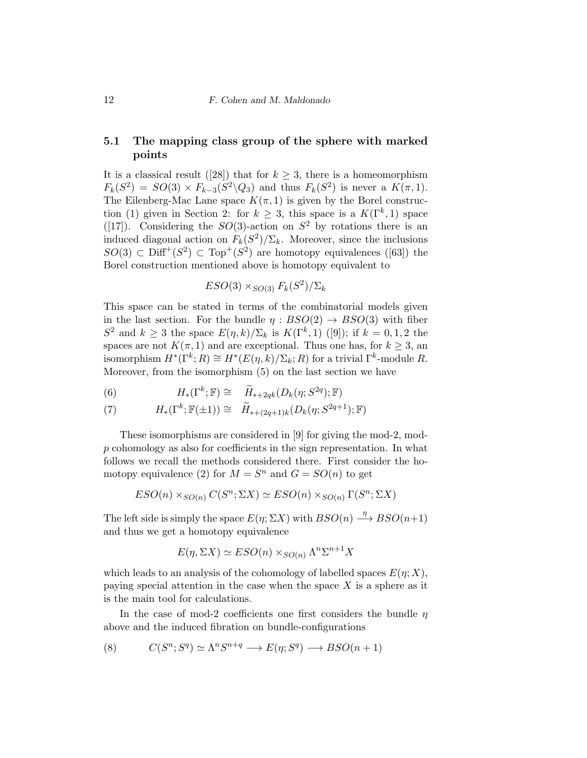#### 5.1 The mapping class group of the sphere with marked points

It is a classical result ([28]) that for  $k \geq 3$ , there is a homeomorphism  $F_k(S^2) = SO(3) \times F_{k-3}(S^2 \backslash Q_3)$  and thus  $F_k(S^2)$  is never a  $K(\pi, 1)$ . The Eilenberg-Mac Lane space  $K(\pi, 1)$  is given by the Borel construction (1) given in Section 2: for  $k \geq 3$ , this space is a  $K(\Gamma^k, 1)$  space ([17]). Considering the  $SO(3)$ -action on  $S^2$  by rotations there is an induced diagonal action on  $F_k(S^2)/\Sigma_k$ . Moreover, since the inclusions  $SO(3) \subset \text{Diff}^+(S^2) \subset \text{Top}^+(S^2)$  are homotopy equivalences ([63]) the Borel construction mentioned above is homotopy equivalent to

$$
ESO(3) \times_{SO(3)} F_k(S^2) / \Sigma_k
$$

This space can be stated in terms of the combinatorial models given in the last section. For the bundle  $\eta : BSO(2) \rightarrow BSO(3)$  with fiber  $S^2$  and  $k \geq 3$  the space  $E(\eta, k)/\Sigma_k$  is  $K(\Gamma^k, 1)$  ([9]); if  $k = 0, 1, 2$  the spaces are not  $K(\pi, 1)$  and are exceptional. Thus one has, for  $k \geq 3$ , and isomorphism  $H^*(\Gamma^k; R) \cong H^*(E(\eta, k)/\Sigma_k; R)$  for a trivial  $\Gamma^k$ -module R. Moreover, from the isomorphism (5) on the last section we have

(6) 
$$
H_*(\Gamma^k; \mathbb{F}) \cong \widetilde{H}_{*+2qk}(D_k(\eta; S^{2q}); \mathbb{F})
$$

(7) 
$$
H_*(\Gamma^k; \mathbb{F}(\pm 1)) \cong \widetilde{H}_{*+(2q+1)k}(D_k(\eta; S^{2q+1}); \mathbb{F})
$$

These isomorphisms are considered in [9] for giving the mod-2, modp cohomology as also for coefficients in the sign representation. In what follows we recall the methods considered there. First consider the homotopy equivalence (2) for  $M = S^n$  and  $G = SO(n)$  to get

$$
ESO(n) \times_{SO(n)} C(S^n; \Sigma X) \simeq ESO(n) \times_{SO(n)} \Gamma(S^n; \Sigma X)
$$

The left side is simply the space  $E(\eta; \Sigma X)$  with  $BSO(n) \stackrel{\eta}{\longrightarrow} BSO(n+1)$ and thus we get a homotopy equivalence

$$
E(\eta, \Sigma X) \simeq ESO(n) \times_{SO(n)} \Lambda^n \Sigma^{n+1} X
$$

which leads to an analysis of the cohomology of labelled spaces  $E(\eta; X)$ , paying special attention in the case when the space  $X$  is a sphere as it is the main tool for calculations.

In the case of mod-2 coefficients one first considers the bundle  $\eta$ above and the induced fibration on bundle-configurations

$$
(8) \qquad C(S^n; S^q) \simeq \Lambda^n S^{n+q} \longrightarrow E(\eta; S^q) \longrightarrow BSO(n+1)
$$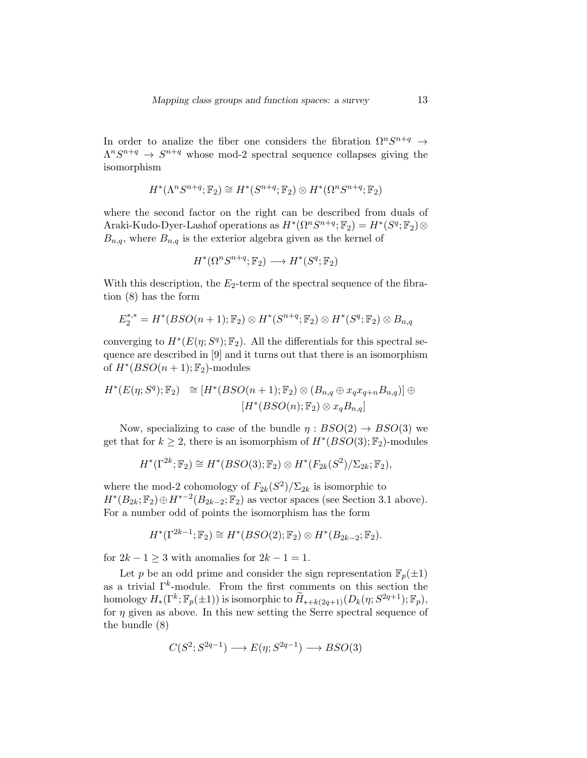In order to analize the fiber one considers the fibration  $\Omega^n S^{n+q} \to$  $\Lambda^n S^{n+q} \to S^{n+q}$  whose mod-2 spectral sequence collapses giving the isomorphism

$$
H^*(\Lambda^n S^{n+q}; \mathbb{F}_2) \cong H^*(S^{n+q}; \mathbb{F}_2) \otimes H^*(\Omega^n S^{n+q}; \mathbb{F}_2)
$$

where the second factor on the right can be described from duals of Araki-Kudo-Dyer-Lashof operations as  $H^*(\Omega^n S^{n+q}; \mathbb{F}_2) = H^*(S^q; \mathbb{F}_2) \otimes$  $B_{n,q}$ , where  $B_{n,q}$  is the exterior algebra given as the kernel of

$$
H^*(\Omega^n S^{n+q}; \mathbb{F}_2) \longrightarrow H^*(S^q; \mathbb{F}_2)
$$

With this description, the  $E_2$ -term of the spectral sequence of the fibration (8) has the form

$$
E_2^{*,*}=H^*(BSO(n+1);\mathbb{F}_2)\otimes H^*(S^{n+q};\mathbb{F}_2)\otimes H^*(S^q;\mathbb{F}_2)\otimes B_{n,q}
$$

converging to  $H^*(E(\eta; S^q); \mathbb{F}_2)$ . All the differentials for this spectral sequence are described in [9] and it turns out that there is an isomorphism of  $H^*(BSO(n+1); \mathbb{F}_2)$ -modules

$$
H^*(E(\eta; S^q); \mathbb{F}_2) \cong [H^*(BSO(n+1); \mathbb{F}_2) \otimes (B_{n,q} \oplus x_q x_{q+n} B_{n,q})] \oplus
$$
  

$$
[H^*(BSO(n); \mathbb{F}_2) \otimes x_q B_{n,q}]
$$

Now, specializing to case of the bundle  $\eta : BSO(2) \rightarrow BSO(3)$  we get that for  $k \geq 2$ , there is an isomorphism of  $H^*(BSO(3); \mathbb{F}_2)$ -modules

$$
H^*(\Gamma^{2k};\mathbb{F}_2) \cong H^*(BSO(3);\mathbb{F}_2) \otimes H^*(F_{2k}(S^2)/\Sigma_{2k};\mathbb{F}_2),
$$

where the mod-2 cohomology of  $F_{2k}(S^2)/\Sigma_{2k}$  is isomorphic to  $H^*(B_{2k}; \mathbb{F}_2) \oplus H^{*-2}(B_{2k-2}; \mathbb{F}_2)$  as vector spaces (see Section 3.1 above). For a number odd of points the isomorphism has the form

$$
H^*(\Gamma^{2k-1}; \mathbb{F}_2) \cong H^*(BSO(2); \mathbb{F}_2) \otimes H^*(B_{2k-2}; \mathbb{F}_2).
$$

for  $2k - 1 \geq 3$  with anomalies for  $2k - 1 = 1$ .

Let p be an odd prime and consider the sign representation  $\mathbb{F}_p(\pm 1)$ as a trivial  $\Gamma^k$ -module. From the first comments on this section the homology  $H_*(\Gamma^k; \mathbb{F}_p(\pm 1))$  is isomorphic to  $\widetilde{H}_{*+k(2q+1)}(D_k(\eta; S^{2q+1}); \mathbb{F}_p)$ , for  $\eta$  given as above. In this new setting the Serre spectral sequence of the bundle (8)

$$
C(S^2; S^{2q-1}) \longrightarrow E(\eta; S^{2q-1}) \longrightarrow BSO(3)
$$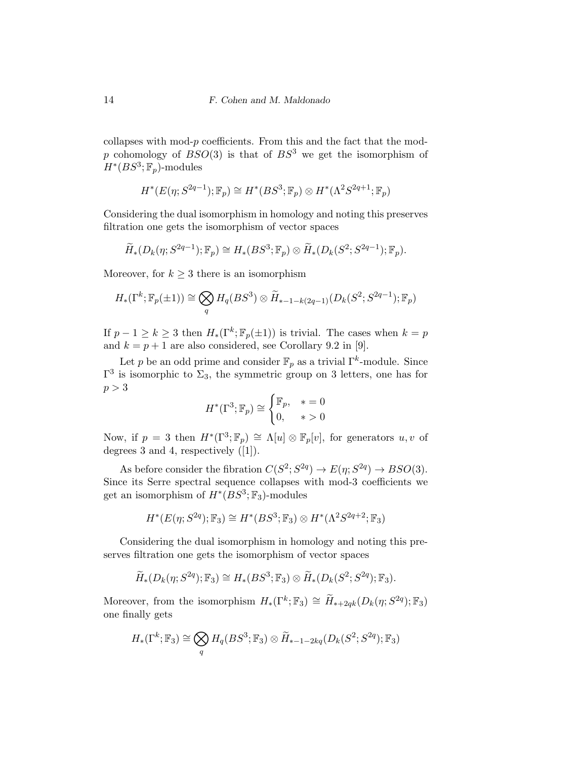collapses with mod- $p$  coefficients. From this and the fact that the modp cohomology of  $BSO(3)$  is that of  $BS^3$  we get the isomorphism of  $H^*(BS^3; \mathbb{F}_p)$ -modules

$$
H^*(E(\eta; S^{2q-1}); \mathbb{F}_p) \cong H^*(BS^3; \mathbb{F}_p) \otimes H^*(\Lambda^2 S^{2q+1}; \mathbb{F}_p)
$$

Considering the dual isomorphism in homology and noting this preserves filtration one gets the isomorphism of vector spaces

$$
\widetilde{H}_*(D_k(\eta; S^{2q-1}); \mathbb{F}_p) \cong H_*(BS^3; \mathbb{F}_p) \otimes \widetilde{H}_*(D_k(S^2; S^{2q-1}); \mathbb{F}_p).
$$

Moreover, for  $k \geq 3$  there is an isomorphism

$$
H_*(\Gamma^k; \mathbb{F}_p(\pm 1)) \cong \bigotimes_q H_q(BS^3) \otimes \widetilde{H}_{*-1-k(2q-1)}(D_k(S^2; S^{2q-1}); \mathbb{F}_p)
$$

If  $p-1 \geq k \geq 3$  then  $H_*(\Gamma^k; \mathbb{F}_p(\pm 1))$  is trivial. The cases when  $k = p$ and  $k = p + 1$  are also considered, see Corollary 9.2 in [9].

Let p be an odd prime and consider  $\mathbb{F}_p$  as a trivial  $\Gamma^k$ -module. Since  $\Gamma^3$  is isomorphic to  $\Sigma_3$ , the symmetric group on 3 letters, one has for  $p > 3$ 

$$
H^*(\Gamma^3; \mathbb{F}_p) \cong \begin{cases} \mathbb{F}_p, & * = 0\\ 0, & * > 0 \end{cases}
$$

Now, if  $p = 3$  then  $H^*(\Gamma^3; \mathbb{F}_p) \cong \Lambda[u] \otimes \mathbb{F}_p[v]$ , for generators  $u, v$  of degrees 3 and 4, respectively ([1]).

As before consider the fibration  $C(S^2; S^{2q}) \to E(\eta; S^{2q}) \to BSO(3)$ . Since its Serre spectral sequence collapses with mod-3 coefficients we get an isomorphism of  $H^*(BS^3; \mathbb{F}_3)$ -modules

$$
H^*(E(\eta; S^{2q}); \mathbb{F}_3) \cong H^*(BS^3; \mathbb{F}_3) \otimes H^*(\Lambda^2 S^{2q+2}; \mathbb{F}_3)
$$

Considering the dual isomorphism in homology and noting this preserves filtration one gets the isomorphism of vector spaces

$$
\widetilde{H}_*(D_k(\eta; S^{2q}); \mathbb{F}_3) \cong H_*(BS^3; \mathbb{F}_3) \otimes \widetilde{H}_*(D_k(S^2; S^{2q}); \mathbb{F}_3).
$$

Moreover, from the isomorphism  $H_*(\Gamma^k; \mathbb{F}_3) \cong \widetilde{H}_{*+2qk}(D_k(\eta; S^{2q}); \mathbb{F}_3)$ one finally gets

$$
H_*(\Gamma^k; \mathbb{F}_3) \cong \bigotimes_q H_q(BS^3; \mathbb{F}_3) \otimes \widetilde{H}_{*-1-2kq}(D_k(S^2; S^{2q}); \mathbb{F}_3)
$$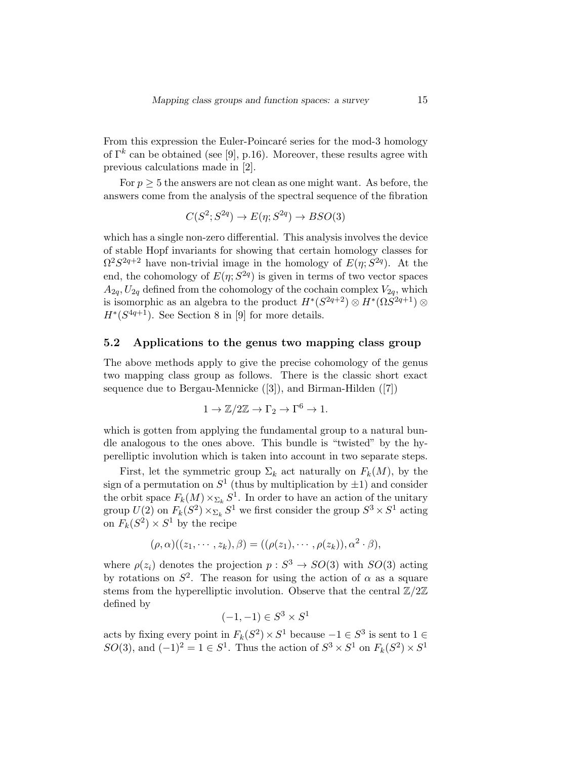From this expression the Euler-Poincaré series for the mod-3 homology of  $\Gamma^k$  can be obtained (see [9], p.16). Moreover, these results agree with previous calculations made in [2].

For  $p \geq 5$  the answers are not clean as one might want. As before, the answers come from the analysis of the spectral sequence of the fibration

$$
C(S^2; S^{2q}) \to E(\eta; S^{2q}) \to BSO(3)
$$

which has a single non-zero differential. This analysis involves the device of stable Hopf invariants for showing that certain homology classes for  $\Omega^2 S^{2q+2}$  have non-trivial image in the homology of  $E(\eta; S^{2q})$ . At the end, the cohomology of  $E(\eta; S^{2q})$  is given in terms of two vector spaces  $A_{2a}$ ,  $U_{2a}$  defined from the cohomology of the cochain complex  $V_{2a}$ , which is isomorphic as an algebra to the product  $H^*(S^{2q+2}) \otimes H^*(\Omega S^{2q+1}) \otimes$  $H^*(S^{4q+1})$ . See Section 8 in [9] for more details.

#### 5.2 Applications to the genus two mapping class group

The above methods apply to give the precise cohomology of the genus two mapping class group as follows. There is the classic short exact sequence due to Bergau-Mennicke ([3]), and Birman-Hilden ([7])

$$
1 \to \mathbb{Z}/2\mathbb{Z} \to \Gamma_2 \to \Gamma^6 \to 1.
$$

which is gotten from applying the fundamental group to a natural bundle analogous to the ones above. This bundle is "twisted" by the hyperelliptic involution which is taken into account in two separate steps.

First, let the symmetric group  $\Sigma_k$  act naturally on  $F_k(M)$ , by the sign of a permutation on  $S^1$  (thus by multiplication by  $\pm 1$ ) and consider the orbit space  $F_k(M) \times_{\Sigma_k} S^1$ . In order to have an action of the unitary group  $U(2)$  on  $F_k(S^2) \times_{\Sigma_k} S^1$  we first consider the group  $S^3 \times S^1$  acting on  $F_k(S^2) \times S^1$  by the recipe

$$
(\rho,\alpha)((z_1,\cdots,z_k),\beta)=((\rho(z_1),\cdots,\rho(z_k)),\alpha^2\cdot\beta),
$$

where  $\rho(z_i)$  denotes the projection  $p: S^3 \to SO(3)$  with  $SO(3)$  acting by rotations on  $S^2$ . The reason for using the action of  $\alpha$  as a square stems from the hyperelliptic involution. Observe that the central  $\mathbb{Z}/2\mathbb{Z}$ defined by

$$
(-1, -1) \in S^3 \times S^1
$$

acts by fixing every point in  $F_k(S^2) \times S^1$  because  $-1 \in S^3$  is sent to  $1 \in$  $SO(3)$ , and  $(-1)^2 = 1 \in S^1$ . Thus the action of  $S^3 \times S^1$  on  $F_k(S^2) \times S^1$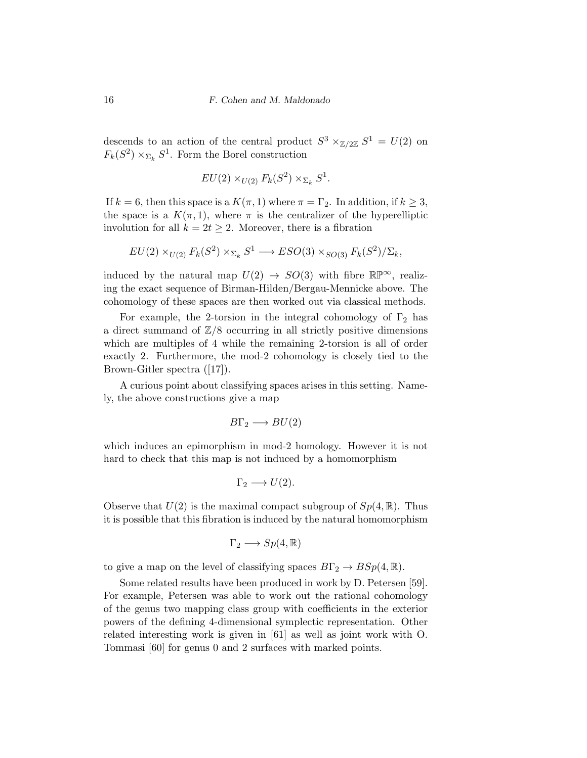descends to an action of the central product  $S^3 \times_{\mathbb{Z}/2\mathbb{Z}} S^1 = U(2)$  on  $F_k(S^2) \times_{\Sigma_k} S^1$ . Form the Borel construction

$$
EU(2) \times_{U(2)} F_k(S^2) \times_{\Sigma_k} S^1.
$$

If  $k = 6$ , then this space is a  $K(\pi, 1)$  where  $\pi = \Gamma_2$ . In addition, if  $k \geq 3$ , the space is a  $K(\pi,1)$ , where  $\pi$  is the centralizer of the hyperelliptic involution for all  $k = 2t \geq 2$ . Moreover, there is a fibration

$$
EU(2) \times_{U(2)} F_k(S^2) \times_{\Sigma_k} S^1 \longrightarrow ESO(3) \times_{SO(3)} F_k(S^2) / \Sigma_k,
$$

induced by the natural map  $U(2) \rightarrow SO(3)$  with fibre  $\mathbb{RP}^{\infty}$ , realizing the exact sequence of Birman-Hilden/Bergau-Mennicke above. The cohomology of these spaces are then worked out via classical methods.

For example, the 2-torsion in the integral cohomology of  $\Gamma_2$  has a direct summand of  $\mathbb{Z}/8$  occurring in all strictly positive dimensions which are multiples of 4 while the remaining 2-torsion is all of order exactly 2. Furthermore, the mod-2 cohomology is closely tied to the Brown-Gitler spectra ([17]).

A curious point about classifying spaces arises in this setting. Namely, the above constructions give a map

$$
B\Gamma_2 \longrightarrow BU(2)
$$

which induces an epimorphism in mod-2 homology. However it is not hard to check that this map is not induced by a homomorphism

$$
\Gamma_2 \longrightarrow U(2).
$$

Observe that  $U(2)$  is the maximal compact subgroup of  $Sp(4,\mathbb{R})$ . Thus it is possible that this fibration is induced by the natural homomorphism

$$
\Gamma_2 \longrightarrow Sp(4,\mathbb{R})
$$

to give a map on the level of classifying spaces  $B\Gamma_2 \to BSp(4,\mathbb{R})$ .

Some related results have been produced in work by D. Petersen [59]. For example, Petersen was able to work out the rational cohomology of the genus two mapping class group with coefficients in the exterior powers of the defining 4-dimensional symplectic representation. Other related interesting work is given in [61] as well as joint work with O. Tommasi [60] for genus 0 and 2 surfaces with marked points.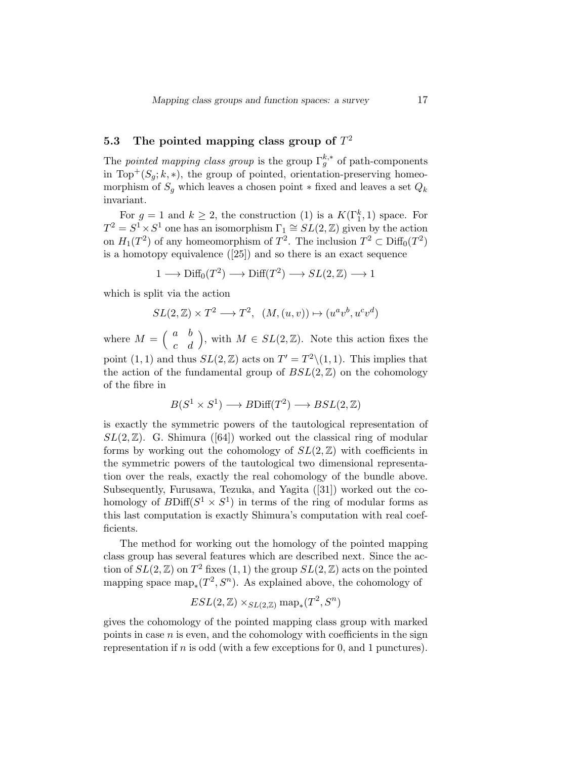# 5.3 The pointed mapping class group of  $T^2$

The *pointed mapping class group* is the group  $\Gamma_g^{k,*}$  of path-components in Top<sup>+</sup>( $S_q$ ; k, \*), the group of pointed, orientation-preserving homeomorphism of  $S_g$  which leaves a chosen point  $*$  fixed and leaves a set  $Q_k$ invariant.

For  $g = 1$  and  $k \geq 2$ , the construction (1) is a  $K(\Gamma_1^k, 1)$  space. For  $T^2 = S^1 \times S^1$  one has an isomorphism  $\Gamma_1 \cong SL(2, \mathbb{Z})$  given by the action on  $H_1(T^2)$  of any homeomorphism of  $T^2$ . The inclusion  $T^2 \subset \text{Diff}_0(T^2)$ is a homotopy equivalence ([25]) and so there is an exact sequence

$$
1 \longrightarrow \text{Diff}_0(T^2) \longrightarrow \text{Diff}(T^2) \longrightarrow SL(2,\mathbb{Z}) \longrightarrow 1
$$

which is split via the action

$$
SL(2,\mathbb{Z}) \times T^2 \longrightarrow T^2, \ \ (M,(u,v)) \mapsto (u^a v^b, u^c v^d)
$$

where  $M = \begin{pmatrix} a & b \\ c & d \end{pmatrix}$ , with  $M \in SL(2, \mathbb{Z})$ . Note this action fixes the point  $(1, 1)$  and thus  $SL(2, \mathbb{Z})$  acts on  $T' = T^2 \setminus (1, 1)$ . This implies that the action of the fundamental group of  $BSL(2, \mathbb{Z})$  on the cohomology of the fibre in

$$
B(S^1 \times S^1) \longrightarrow B\mathrm{Diff}(T^2) \longrightarrow BSL(2,\mathbb{Z})
$$

is exactly the symmetric powers of the tautological representation of  $SL(2,\mathbb{Z})$ . G. Shimura ([64]) worked out the classical ring of modular forms by working out the cohomology of  $SL(2, \mathbb{Z})$  with coefficients in the symmetric powers of the tautological two dimensional representation over the reals, exactly the real cohomology of the bundle above. Subsequently, Furusawa, Tezuka, and Yagita ([31]) worked out the cohomology of  $BDiff(S^1 \times S^1)$  in terms of the ring of modular forms as this last computation is exactly Shimura's computation with real coefficients.

The method for working out the homology of the pointed mapping class group has several features which are described next. Since the action of  $SL(2, \mathbb{Z})$  on  $T^2$  fixes  $(1, 1)$  the group  $SL(2, \mathbb{Z})$  acts on the pointed mapping space  $\text{map}_*(T^2, S^n)$ . As explained above, the cohomology of

$$
ESL(2, \mathbb{Z}) \times_{SL(2, \mathbb{Z})} \text{map}_*(T^2, S^n)
$$

gives the cohomology of the pointed mapping class group with marked points in case  $n$  is even, and the cohomology with coefficients in the sign representation if  $n$  is odd (with a few exceptions for 0, and 1 punctures).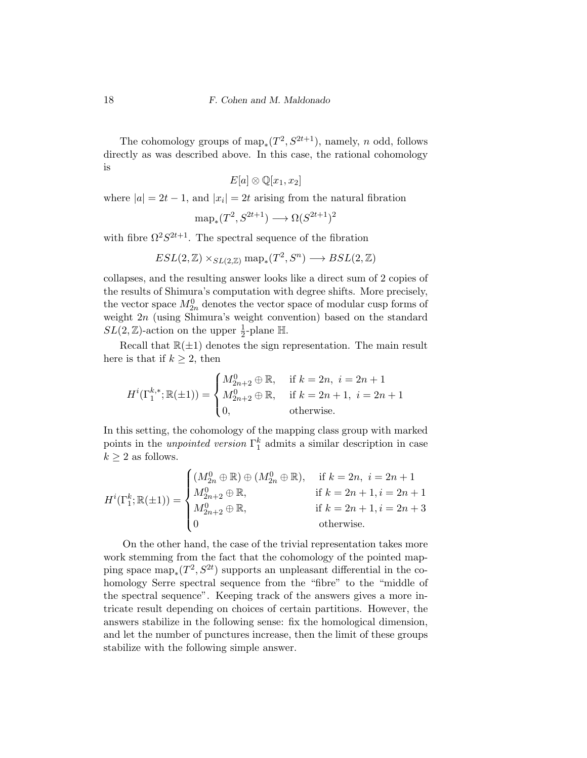The cohomology groups of  $\text{map}_*(T^2, S^{2t+1})$ , namely, n odd, follows directly as was described above. In this case, the rational cohomology is

$$
E[a] \otimes \mathbb{Q}[x_1, x_2]
$$

where  $|a| = 2t - 1$ , and  $|x_i| = 2t$  arising from the natural fibration

$$
\text{map}_*(T^2, S^{2t+1}) \longrightarrow \Omega(S^{2t+1})^2
$$

with fibre  $\Omega^2 S^{2t+1}$ . The spectral sequence of the fibration

$$
ESL(2, \mathbb{Z}) \times_{SL(2, \mathbb{Z})} \text{map}_*(T^2, S^n) \longrightarrow BSL(2, \mathbb{Z})
$$

collapses, and the resulting answer looks like a direct sum of 2 copies of the results of Shimura's computation with degree shifts. More precisely, the vector space  $M_{2n}^0$  denotes the vector space of modular cusp forms of weight 2n (using Shimura's weight convention) based on the standard  $SL(2, \mathbb{Z})$ -action on the upper  $\frac{1}{2}$ -plane H.

Recall that  $\mathbb{R}(\pm 1)$  denotes the sign representation. The main result here is that if  $k \geq 2$ , then

$$
H^{i}(\Gamma_{1}^{k,*}; \mathbb{R}(\pm 1)) = \begin{cases} M_{2n+2}^{0} \oplus \mathbb{R}, & \text{if } k = 2n, i = 2n+1 \\ M_{2n+2}^{0} \oplus \mathbb{R}, & \text{if } k = 2n+1, i = 2n+1 \\ 0, & \text{otherwise.} \end{cases}
$$

In this setting, the cohomology of the mapping class group with marked points in the *unpointed version*  $\Gamma_1^k$  admits a similar description in case  $k \geq 2$  as follows.

$$
H^{i}(\Gamma_{1}^{k}; \mathbb{R}(\pm 1)) = \begin{cases} (M_{2n}^{0} \oplus \mathbb{R}) \oplus (M_{2n}^{0} \oplus \mathbb{R}), & \text{if } k = 2n, i = 2n + 1 \\ M_{2n+2}^{0} \oplus \mathbb{R}, & \text{if } k = 2n + 1, i = 2n + 1 \\ M_{2n+2}^{0} \oplus \mathbb{R}, & \text{if } k = 2n + 1, i = 2n + 3 \\ 0 & \text{otherwise.} \end{cases}
$$

On the other hand, the case of the trivial representation takes more work stemming from the fact that the cohomology of the pointed mapping space  $\text{map}_*(T^2, S^{2t})$  supports an unpleasant differential in the cohomology Serre spectral sequence from the "fibre" to the "middle of the spectral sequence". Keeping track of the answers gives a more intricate result depending on choices of certain partitions. However, the answers stabilize in the following sense: fix the homological dimension, and let the number of punctures increase, then the limit of these groups stabilize with the following simple answer.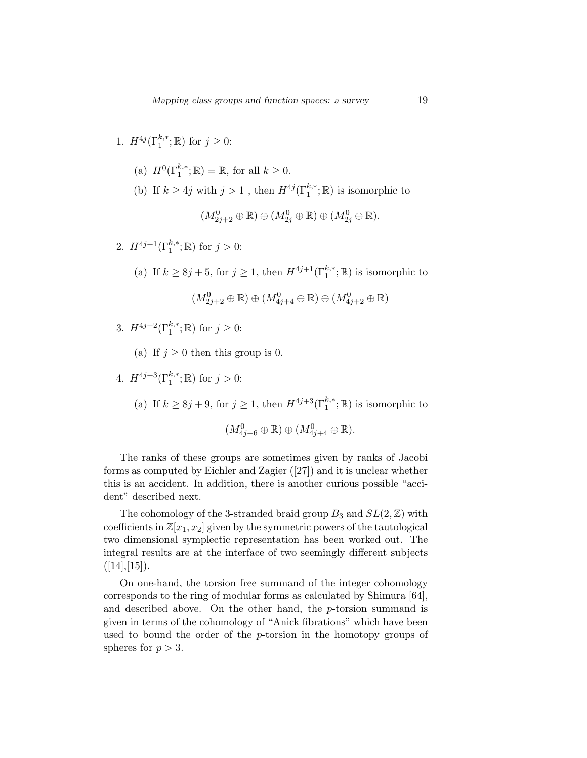1. 
$$
H^{4j}(\Gamma_1^{k,*}; \mathbb{R})
$$
 for  $j \ge 0$ :

- (a)  $H^0(\Gamma_1^{k,*}; \mathbb{R}) = \mathbb{R}$ , for all  $k \geq 0$ .
- (b) If  $k \geq 4j$  with  $j > 1$ , then  $H^{4j}(\Gamma_1^{k,*}; \mathbb{R})$  is isomorphic to

$$
(M_{2j+2}^0\oplus \mathbb{R})\oplus (M_{2j}^0\oplus \mathbb{R})\oplus (M_{2j}^0\oplus \mathbb{R}).
$$

- 2.  $H^{4j+1}(\Gamma_1^{k,*};\mathbb{R})$  for  $j>0$ :
	- (a) If  $k \geq 8j + 5$ , for  $j \geq 1$ , then  $H^{4j+1}(\Gamma_1^{k,*}; \mathbb{R})$  is isomorphic to

$$
(M_{2j+2}^0\oplus\mathbb{R})\oplus(M_{4j+4}^0\oplus\mathbb{R})\oplus(M_{4j+2}^0\oplus\mathbb{R})
$$

- 3.  $H^{4j+2}(\Gamma_1^{k,*};\mathbb{R})$  for  $j \geq 0$ :
	- (a) If  $j \geq 0$  then this group is 0.
- 4.  $H^{4j+3}(\Gamma_1^{k,*};\mathbb{R})$  for  $j>0$ :
	- (a) If  $k \geq 8j + 9$ , for  $j \geq 1$ , then  $H^{4j+3}(\Gamma_1^{k,*}; \mathbb{R})$  is isomorphic to

$$
(M_{4j+6}^0\oplus \mathbb{R})\oplus (M_{4j+4}^0\oplus \mathbb{R}).
$$

The ranks of these groups are sometimes given by ranks of Jacobi forms as computed by Eichler and Zagier ([27]) and it is unclear whether this is an accident. In addition, there is another curious possible "accident" described next.

The cohomology of the 3-stranded braid group  $B_3$  and  $SL(2,\mathbb{Z})$  with coefficients in  $\mathbb{Z}[x_1, x_2]$  given by the symmetric powers of the tautological two dimensional symplectic representation has been worked out. The integral results are at the interface of two seemingly different subjects  $([14],[15]).$ 

On one-hand, the torsion free summand of the integer cohomology corresponds to the ring of modular forms as calculated by Shimura [64], and described above. On the other hand, the  $p$ -torsion summand is given in terms of the cohomology of "Anick fibrations" which have been used to bound the order of the p-torsion in the homotopy groups of spheres for  $p > 3$ .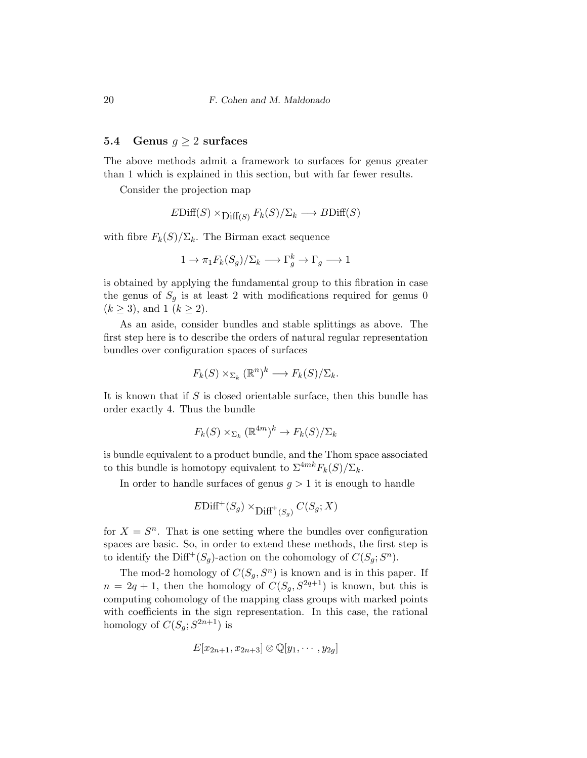#### 5.4 Genus  $g \geq 2$  surfaces

The above methods admit a framework to surfaces for genus greater than 1 which is explained in this section, but with far fewer results.

Consider the projection map

$$
EDiff(S) \times Diff_{(S)} F_k(S) / \Sigma_k \longrightarrow BDiff(S)
$$

with fibre  $F_k(S)/\Sigma_k$ . The Birman exact sequence

$$
1 \to \pi_1 F_k(S_g) / \Sigma_k \longrightarrow \Gamma_g^k \to \Gamma_g \longrightarrow 1
$$

is obtained by applying the fundamental group to this fibration in case the genus of  $S_q$  is at least 2 with modifications required for genus 0  $(k \ge 3)$ , and  $1 (k \ge 2)$ .

As an aside, consider bundles and stable splittings as above. The first step here is to describe the orders of natural regular representation bundles over configuration spaces of surfaces

$$
F_k(S) \times_{\Sigma_k} (\mathbb{R}^n)^k \longrightarrow F_k(S) / \Sigma_k.
$$

It is known that if  $S$  is closed orientable surface, then this bundle has order exactly 4. Thus the bundle

$$
F_k(S) \times_{\Sigma_k} (\mathbb{R}^{4m})^k \to F_k(S) / \Sigma_k
$$

is bundle equivalent to a product bundle, and the Thom space associated to this bundle is homotopy equivalent to  $\Sigma^{4mk}F_k(S)/\Sigma_k$ .

In order to handle surfaces of genus  $g > 1$  it is enough to handle

$$
E\text{Diff}^+(S_g) \times_{\text{Diff}^+(S_g)} C(S_g;X)
$$

for  $X = S^n$ . That is one setting where the bundles over configuration spaces are basic. So, in order to extend these methods, the first step is to identify the Diff<sup>+</sup>(S<sub>g</sub>)-action on the cohomology of  $C(S_g; S^n)$ .

The mod-2 homology of  $C(S_g, S^n)$  is known and is in this paper. If  $n = 2q + 1$ , then the homology of  $C(S_g, S^{2q+1})$  is known, but this is computing cohomology of the mapping class groups with marked points with coefficients in the sign representation. In this case, the rational homology of  $C(S_g; S^{2n+1})$  is

$$
E[x_{2n+1}, x_{2n+3}] \otimes \mathbb{Q}[y_1, \cdots, y_{2g}]
$$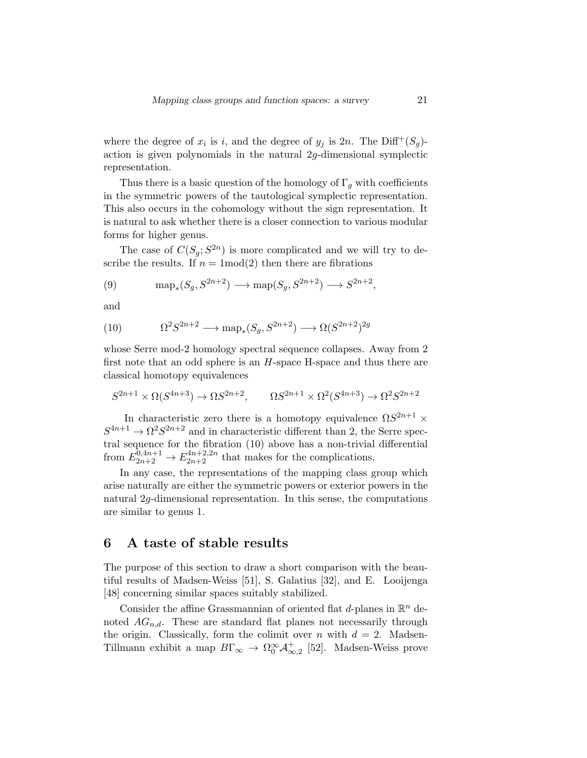where the degree of  $x_i$  is i, and the degree of  $y_j$  is  $2n$ . The Diff<sup>+</sup>( $S_g$ )action is given polynomials in the natural 2g-dimensional symplectic representation.

Thus there is a basic question of the homology of  $\Gamma_g$  with coefficients in the symmetric powers of the tautological symplectic representation. This also occurs in the cohomology without the sign representation. It is natural to ask whether there is a closer connection to various modular forms for higher genus.

The case of  $C(S_g; S^{2n})$  is more complicated and we will try to describe the results. If  $n = 1 \text{mod}(2)$  then there are fibrations

(9) 
$$
\operatorname{map}_*(S_g, S^{2n+2}) \longrightarrow \operatorname{map}(S_g, S^{2n+2}) \longrightarrow S^{2n+2},
$$

and

(10) 
$$
\Omega^2 S^{2n+2} \longrightarrow \text{map}_*(S_g, S^{2n+2}) \longrightarrow \Omega(S^{2n+2})^{2g}
$$

whose Serre mod-2 homology spectral sequence collapses. Away from 2 first note that an odd sphere is an  $H$ -space H-space and thus there are classical homotopy equivalences

$$
S^{2n+1}\times \Omega(S^{4n+3})\to \Omega S^{2n+2},\qquad \Omega S^{2n+1}\times \Omega^2(S^{4n+3})\to \Omega^2 S^{2n+2}
$$

In characteristic zero there is a homotopy equivalence  $\Omega S^{2n+1}$  ×  $S^{4n+1} \to \Omega^2 S^{2n+2}$  and in characteristic different than 2, the Serre spectral sequence for the fibration (10) above has a non-trivial differential from  $E_{2n+2}^{0,4n+1} \rightarrow E_{2n+2}^{4n+2,2n}$  that makes for the complications.

In any case, the representations of the mapping class group which arise naturally are either the symmetric powers or exterior powers in the natural 2g-dimensional representation. In this sense, the computations are similar to genus 1.

# 6 A taste of stable results

The purpose of this section to draw a short comparison with the beautiful results of Madsen-Weiss [51], S. Galatius [32], and E. Looijenga [48] concerning similar spaces suitably stabilized.

Consider the affine Grassmannian of oriented flat  $d$ -planes in  $\mathbb{R}^n$  denoted  $AG_{n,d}$ . These are standard flat planes not necessarily through the origin. Classically, form the colimit over n with  $d = 2$ . Madsen-Tillmann exhibit a map  $B\Gamma_{\infty} \to \Omega_0^{\infty} \mathcal{A}_{\infty,2}^+$  [52]. Madsen-Weiss prove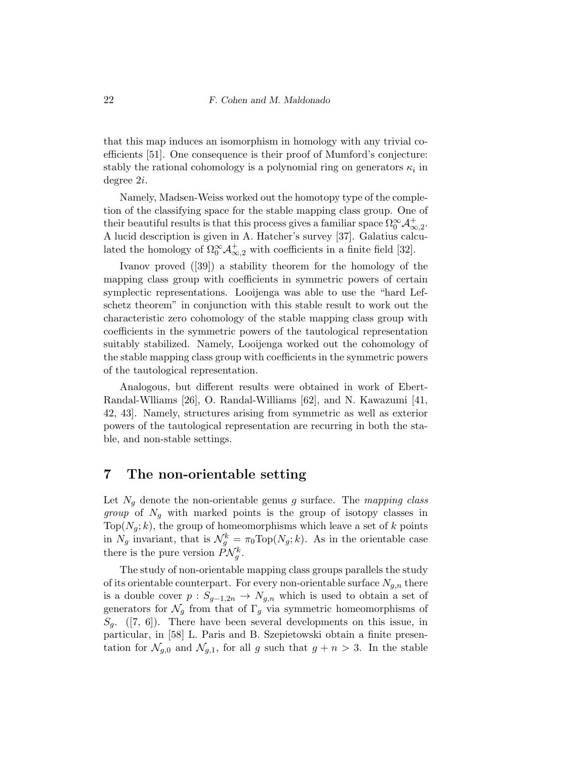that this map induces an isomorphism in homology with any trivial coefficients [51]. One consequence is their proof of Mumford's conjecture: stably the rational cohomology is a polynomial ring on generators  $\kappa_i$  in degree 2i.

Namely, Madsen-Weiss worked out the homotopy type of the completion of the classifying space for the stable mapping class group. One of their beautiful results is that this process gives a familiar space  $\Omega_0^{\infty} \mathcal{A}_{\infty,2}^+$ . A lucid description is given in A. Hatcher's survey [37]. Galatius calculated the homology of  $\Omega_0^{\infty} \mathcal{A}_{\infty,2}^+$  with coefficients in a finite field [32].

Ivanov proved ([39]) a stability theorem for the homology of the mapping class group with coefficients in symmetric powers of certain symplectic representations. Looijenga was able to use the "hard Lefschetz theorem" in conjunction with this stable result to work out the characteristic zero cohomology of the stable mapping class group with coefficients in the symmetric powers of the tautological representation suitably stabilized. Namely, Looijenga worked out the cohomology of the stable mapping class group with coefficients in the symmetric powers of the tautological representation.

Analogous, but different results were obtained in work of Ebert-Randal-Wlliams [26], O. Randal-Williams [62], and N. Kawazumi [41, 42, 43]. Namely, structures arising from symmetric as well as exterior powers of the tautological representation are recurring in both the stable, and non-stable settings.

# 7 The non-orientable setting

Let  $N_q$  denote the non-orientable genus g surface. The mapping class *group* of  $N_q$  with marked points is the group of isotopy classes in Top( $N_q$ ; k), the group of homeomorphisms which leave a set of k points in  $N_g$  invariant, that is  $\mathcal{N}_g^k = \pi_0 \text{Top}(N_g; k)$ . As in the orientable case there is the pure version  $P\mathcal{N}_{g}^{k}$ .

The study of non-orientable mapping class groups parallels the study of its orientable counterpart. For every non-orientable surface  $N_{g,n}$  there is a double cover  $p: S_{g-1,2n} \to N_{g,n}$  which is used to obtain a set of generators for  $\mathcal{N}_g$  from that of  $\Gamma_g$  via symmetric homeomorphisms of  $S_q$ . ([7, 6]). There have been several developments on this issue, in particular, in [58] L. Paris and B. Szepietowski obtain a finite presentation for  $\mathcal{N}_{q,0}$  and  $\mathcal{N}_{q,1}$ , for all g such that  $g + n > 3$ . In the stable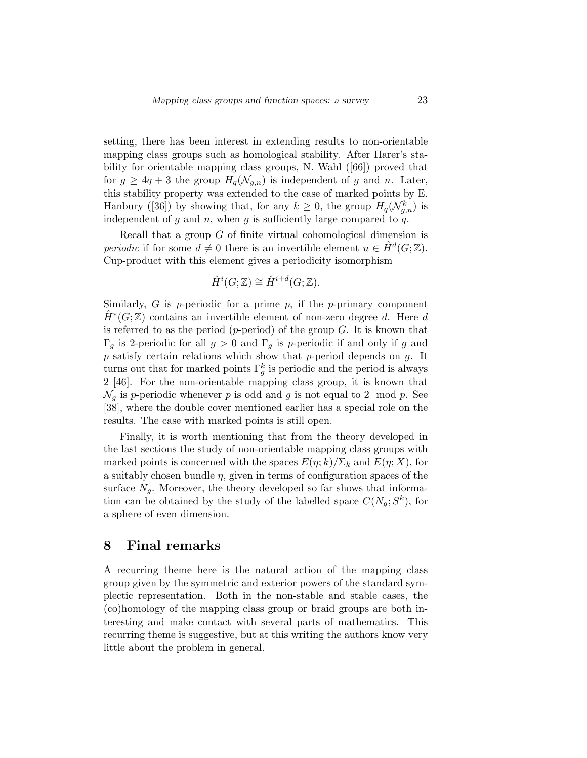setting, there has been interest in extending results to non-orientable mapping class groups such as homological stability. After Harer's stability for orientable mapping class groups, N. Wahl ([66]) proved that for  $g \geq 4q + 3$  the group  $H_q(\mathcal{N}_{g,n})$  is independent of g and n. Later, this stability property was extended to the case of marked points by E. Hanbury ([36]) by showing that, for any  $k \geq 0$ , the group  $H_q(\mathcal{N}_{g,n}^k)$  is independent of g and n, when g is sufficiently large compared to q.

Recall that a group G of finite virtual cohomological dimension is periodic if for some  $d \neq 0$  there is an invertible element  $u \in \hat{H}^d(G; \mathbb{Z})$ . Cup-product with this element gives a periodicity isomorphism

$$
\hat{H}^i(G; \mathbb{Z}) \cong \hat{H}^{i+d}(G; \mathbb{Z}).
$$

Similarly,  $G$  is p-periodic for a prime  $p$ , if the p-primary component  $\hat{H}^*(G;\mathbb{Z})$  contains an invertible element of non-zero degree d. Here d is referred to as the period (p-period) of the group  $G$ . It is known that Γ<sub>g</sub> is 2-periodic for all  $g > 0$  and Γ<sub>g</sub> is p-periodic if and only if g and  $p$  satisfy certain relations which show that  $p$ -period depends on  $g$ . It turns out that for marked points  $\Gamma_g^k$  is periodic and the period is always 2 [46]. For the non-orientable mapping class group, it is known that  $\mathcal{N}_q$  is p-periodic whenever p is odd and g is not equal to 2 mod p. See [38], where the double cover mentioned earlier has a special role on the results. The case with marked points is still open.

Finally, it is worth mentioning that from the theory developed in the last sections the study of non-orientable mapping class groups with marked points is concerned with the spaces  $E(\eta;k)/\Sigma_k$  and  $E(\eta;X)$ , for a suitably chosen bundle  $\eta$ , given in terms of configuration spaces of the surface  $N_q$ . Moreover, the theory developed so far shows that information can be obtained by the study of the labelled space  $C(N_g; S^k)$ , for a sphere of even dimension.

#### 8 Final remarks

A recurring theme here is the natural action of the mapping class group given by the symmetric and exterior powers of the standard symplectic representation. Both in the non-stable and stable cases, the (co)homology of the mapping class group or braid groups are both interesting and make contact with several parts of mathematics. This recurring theme is suggestive, but at this writing the authors know very little about the problem in general.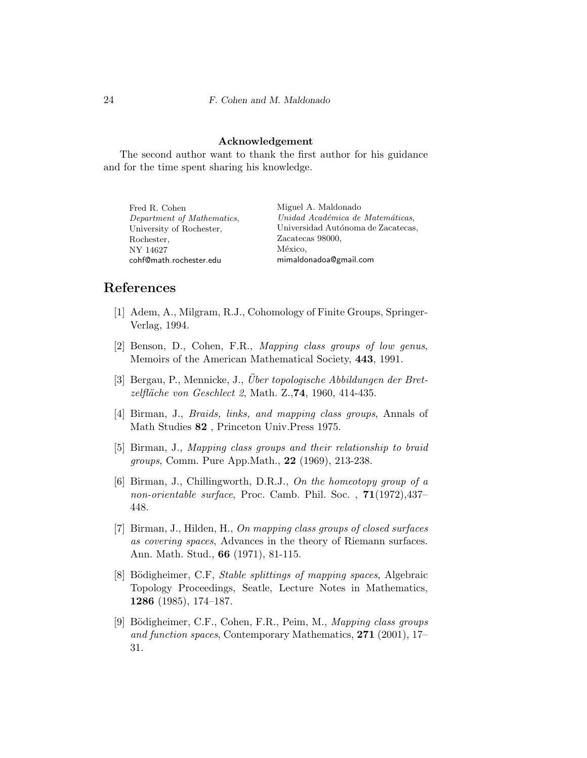#### Acknowledgement

The second author want to thank the first author for his guidance and for the time spent sharing his knowledge.

| Fred R. Cohen              | Miguel A. Maldonado                |
|----------------------------|------------------------------------|
| Department of Mathematics, | Unidad Académica de Matemáticas,   |
| University of Rochester,   | Universidad Autónoma de Zacatecas, |
| Rochester,                 | Zacatecas 98000.                   |
| NY 14627                   | México,                            |
| cohf@math.rochester.edu    | mimaldonadoa@gmail.com             |

### References

- [1] Adem, A., Milgram, R.J., Cohomology of Finite Groups, Springer-Verlag, 1994.
- [2] Benson, D., Cohen, F.R., Mapping class groups of low genus, Memoirs of the American Mathematical Society, 443, 1991.
- [3] Bergau, P., Mennicke, J., Über topologische Abbildungen der Bretzelfläche von Geschlect 2, Math. Z., 74, 1960, 414-435.
- [4] Birman, J., *Braids, links, and mapping class groups*, Annals of Math Studies 82 , Princeton Univ.Press 1975.
- [5] Birman, J., Mapping class groups and their relationship to braid groups, Comm. Pure App.Math., 22 (1969), 213-238.
- [6] Birman, J., Chillingworth, D.R.J., On the homeotopy group of a non-orientable surface, Proc. Camb. Phil. Soc. , 71(1972),437– 448.
- [7] Birman, J., Hilden, H., On mapping class groups of closed surfaces as covering spaces, Advances in the theory of Riemann surfaces. Ann. Math. Stud., 66 (1971), 81-115.
- [8] Bödigheimer, C.F, *Stable splittings of mapping spaces*, Algebraic Topology Proceedings, Seatle, Lecture Notes in Mathematics, 1286 (1985), 174–187.
- [9] Bödigheimer, C.F., Cohen, F.R., Peim, M., Mapping class groups and function spaces, Contemporary Mathematics, 271 (2001), 17– 31.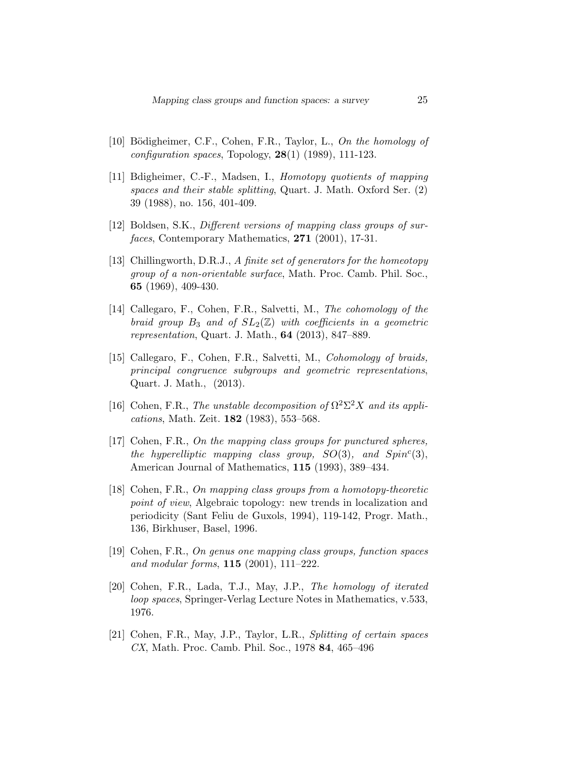- [10] Bödigheimer, C.F., Cohen, F.R., Taylor, L., On the homology of configuration spaces, Topology,  $28(1)$  (1989), 111-123.
- [11] Bdigheimer, C.-F., Madsen, I., Homotopy quotients of mapping spaces and their stable splitting, Quart. J. Math. Oxford Ser. (2) 39 (1988), no. 156, 401-409.
- [12] Boldsen, S.K., Different versions of mapping class groups of surfaces, Contemporary Mathematics, 271 (2001), 17-31.
- [13] Chillingworth, D.R.J., A finite set of generators for the homeotopy group of a non-orientable surface, Math. Proc. Camb. Phil. Soc., 65 (1969), 409-430.
- [14] Callegaro, F., Cohen, F.R., Salvetti, M., The cohomology of the braid group  $B_3$  and of  $SL_2(\mathbb{Z})$  with coefficients in a geometric representation, Quart. J. Math., 64 (2013), 847–889.
- [15] Callegaro, F., Cohen, F.R., Salvetti, M., Cohomology of braids, principal congruence subgroups and geometric representations, Quart. J. Math., (2013).
- [16] Cohen, F.R., The unstable decomposition of  $\Omega^2\Sigma^2 X$  and its applications, Math. Zeit. 182 (1983), 553–568.
- [17] Cohen, F.R., On the mapping class groups for punctured spheres, the hyperelliptic mapping class group,  $SO(3)$ , and  $Spin<sup>c</sup>(3)$ , American Journal of Mathematics, 115 (1993), 389–434.
- [18] Cohen, F.R., On mapping class groups from a homotopy-theoretic point of view, Algebraic topology: new trends in localization and periodicity (Sant Feliu de Guxols, 1994), 119-142, Progr. Math., 136, Birkhuser, Basel, 1996.
- [19] Cohen, F.R., On genus one mapping class groups, function spaces and modular forms, 115 (2001), 111–222.
- [20] Cohen, F.R., Lada, T.J., May, J.P., The homology of iterated loop spaces, Springer-Verlag Lecture Notes in Mathematics, v.533, 1976.
- [21] Cohen, F.R., May, J.P., Taylor, L.R., Splitting of certain spaces CX, Math. Proc. Camb. Phil. Soc., 1978 84, 465–496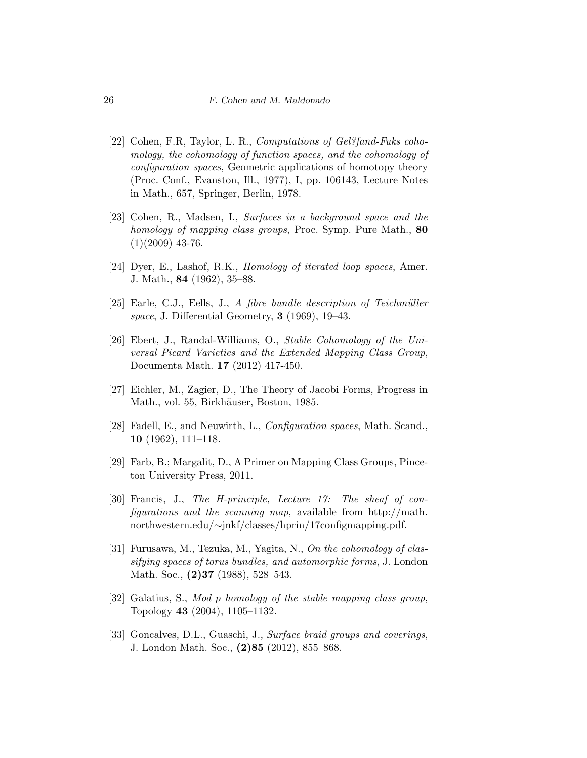- [22] Cohen, F.R, Taylor, L.R., Computations of Gel?fand-Fuks cohomology, the cohomology of function spaces, and the cohomology of configuration spaces, Geometric applications of homotopy theory (Proc. Conf., Evanston, Ill., 1977), I, pp. 106143, Lecture Notes in Math., 657, Springer, Berlin, 1978.
- [23] Cohen, R., Madsen, I., Surfaces in a background space and the homology of mapping class groups, Proc. Symp. Pure Math., 80  $(1)(2009)$  43-76.
- [24] Dyer, E., Lashof, R.K., *Homology of iterated loop spaces*, Amer. J. Math., 84 (1962), 35–88.
- [25] Earle, C.J., Eells, J., A fibre bundle description of Teichmüller space, J. Differential Geometry, 3 (1969), 19–43.
- [26] Ebert, J., Randal-Williams, O., Stable Cohomology of the Universal Picard Varieties and the Extended Mapping Class Group, Documenta Math. 17 (2012) 417-450.
- [27] Eichler, M., Zagier, D., The Theory of Jacobi Forms, Progress in Math., vol. 55, Birkhäuser, Boston, 1985.
- [28] Fadell, E., and Neuwirth, L., Configuration spaces, Math. Scand., 10 (1962), 111–118.
- [29] Farb, B.; Margalit, D., A Primer on Mapping Class Groups, Pinceton University Press, 2011.
- [30] Francis, J., The H-principle, Lecture 17: The sheaf of configurations and the scanning map, available from http://math. northwestern.edu/∼jnkf/classes/hprin/17configmapping.pdf.
- [31] Furusawa, M., Tezuka, M., Yagita, N., On the cohomology of classifying spaces of torus bundles, and automorphic forms, J. London Math. Soc., **(2)37** (1988), 528–543.
- [32] Galatius, S., Mod p homology of the stable mapping class group, Topology 43 (2004), 1105–1132.
- [33] Goncalves, D.L., Guaschi, J., Surface braid groups and coverings, J. London Math. Soc., (2)85 (2012), 855–868.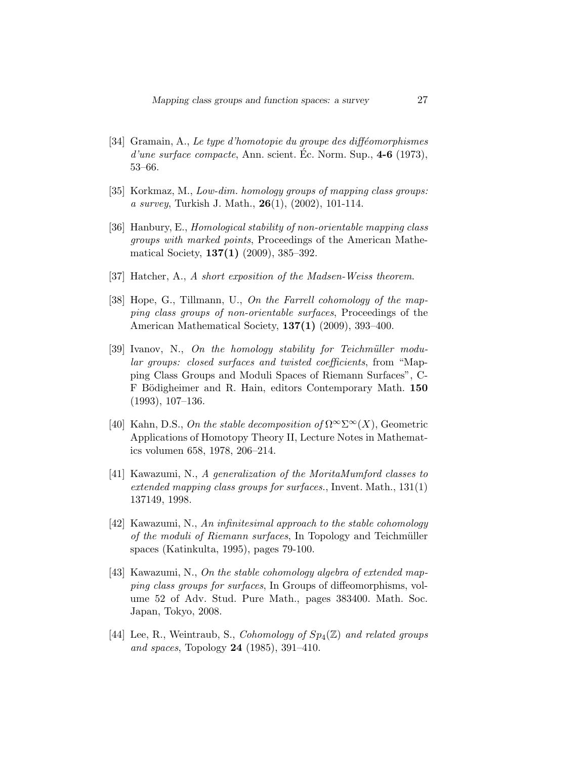- $[34]$  Gramain, A., Le type d'homotopie du groupe des difféomorphismes  $d'une surface compacte, Ann. scient. Ec. Norm. Sup.,  $4-6$  (1973),$ 53–66.
- [35] Korkmaz, M., Low-dim. homology groups of mapping class groups: a survey, Turkish J. Math.,  $26(1)$ ,  $(2002)$ , 101-114.
- [36] Hanbury, E., Homological stability of non-orientable mapping class groups with marked points, Proceedings of the American Mathematical Society, 137(1) (2009), 385–392.
- [37] Hatcher, A., A short exposition of the Madsen-Weiss theorem.
- [38] Hope, G., Tillmann, U., On the Farrell cohomology of the mapping class groups of non-orientable surfaces, Proceedings of the American Mathematical Society, 137(1) (2009), 393–400.
- $[39]$  Ivanov, N., On the homology stability for Teichmüller modular groups: closed surfaces and twisted coefficients, from "Mapping Class Groups and Moduli Spaces of Riemann Surfaces", C-F Bödigheimer and R. Hain, editors Contemporary Math. 150 (1993), 107–136.
- [40] Kahn, D.S., On the stable decomposition of  $\Omega^{\infty} \Sigma^{\infty}(X)$ , Geometric Applications of Homotopy Theory II, Lecture Notes in Mathematics volumen 658, 1978, 206–214.
- [41] Kawazumi, N., A generalization of the MoritaMumford classes to extended mapping class groups for surfaces., Invent. Math., 131(1) 137149, 1998.
- [42] Kawazumi, N., An infinitesimal approach to the stable cohomology of the moduli of Riemann surfaces, In Topology and Teichmüller spaces (Katinkulta, 1995), pages 79-100.
- [43] Kawazumi, N., On the stable cohomology algebra of extended mapping class groups for surfaces, In Groups of diffeomorphisms, volume 52 of Adv. Stud. Pure Math., pages 383400. Math. Soc. Japan, Tokyo, 2008.
- [44] Lee, R., Weintraub, S., Cohomology of  $Sp_4(\mathbb{Z})$  and related groups and spaces, Topology 24 (1985), 391–410.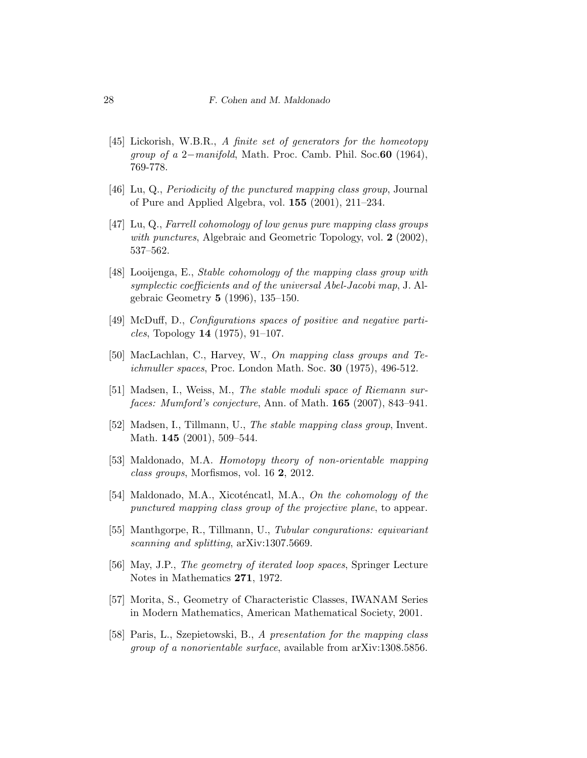- [45] Lickorish, W.B.R., A finite set of generators for the homeotopy group of a 2−manifold, Math. Proc. Camb. Phil. Soc.60 (1964), 769-778.
- [46] Lu, Q., Periodicity of the punctured mapping class group, Journal of Pure and Applied Algebra, vol. 155 (2001), 211–234.
- [47] Lu, Q., Farrell cohomology of low genus pure mapping class groups with punctures, Algebraic and Geometric Topology, vol. 2 (2002), 537–562.
- [48] Looijenga, E., Stable cohomology of the mapping class group with symplectic coefficients and of the universal Abel-Jacobi map, J. Algebraic Geometry 5 (1996), 135–150.
- [49] McDuff, D., Configurations spaces of positive and negative particles, Topology 14  $(1975)$ , 91–107.
- [50] MacLachlan, C., Harvey, W., On mapping class groups and Teichmuller spaces, Proc. London Math. Soc.  $30$  (1975), 496-512.
- [51] Madsen, I., Weiss, M., The stable moduli space of Riemann surfaces: Mumford's conjecture, Ann. of Math. **165** (2007), 843–941.
- [52] Madsen, I., Tillmann, U., The stable mapping class group, Invent. Math. **145** (2001), 509-544.
- [53] Maldonado, M.A. Homotopy theory of non-orientable mapping class groups, Morfismos, vol. 16 2, 2012.
- [54] Maldonado, M.A., Xicoténcatl, M.A., On the cohomology of the punctured mapping class group of the projective plane, to appear.
- [55] Manthgorpe, R., Tillmann, U., Tubular congurations: equivariant scanning and splitting, arXiv:1307.5669.
- [56] May, J.P., The geometry of iterated loop spaces, Springer Lecture Notes in Mathematics 271, 1972.
- [57] Morita, S., Geometry of Characteristic Classes, IWANAM Series in Modern Mathematics, American Mathematical Society, 2001.
- [58] Paris, L., Szepietowski, B., A presentation for the mapping class group of a nonorientable surface, available from arXiv:1308.5856.